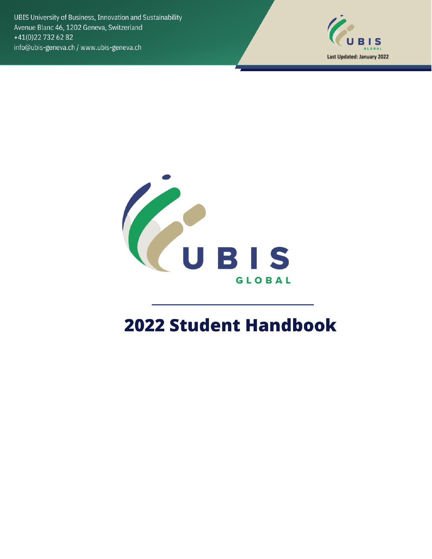UBIS University of Business, Innovation and Sustainability Avenue Blanc 46, 1202 Geneva, Switzerland +41(0)22 732 62 82 info@ubis-geneva.ch / www.ubis-geneva.ch





# **2022 Student Handbook**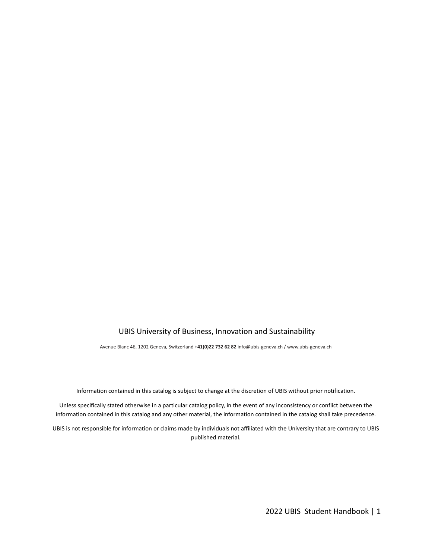#### UBIS University of Business, Innovation and Sustainability

Avenue Blanc 46, 1202 Geneva, Switzerland **+41(0)22 732 62 82** info@ubis-geneva.ch / www.ubis-geneva.ch

Information contained in this catalog is subject to change at the discretion of UBIS without prior notification.

Unless specifically stated otherwise in a particular catalog policy, in the event of any inconsistency or conflict between the information contained in this catalog and any other material, the information contained in the catalog shall take precedence.

UBIS is not responsible for information or claims made by individuals not affiliated with the University that are contrary to UBIS published material.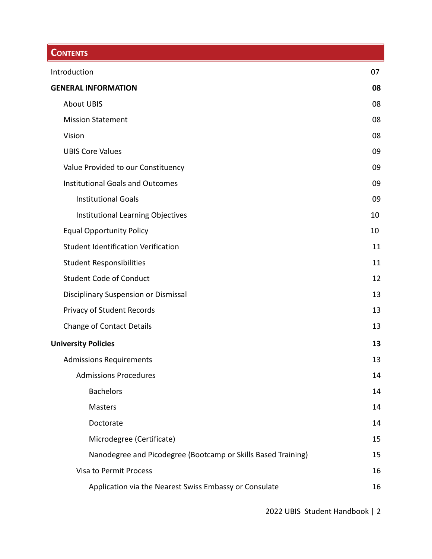# **CONTENTS**

| Introduction                                                  | 07 |
|---------------------------------------------------------------|----|
| <b>GENERAL INFORMATION</b>                                    | 08 |
| <b>About UBIS</b>                                             | 08 |
| <b>Mission Statement</b>                                      | 08 |
| Vision                                                        | 08 |
| <b>UBIS Core Values</b>                                       | 09 |
| Value Provided to our Constituency                            | 09 |
| <b>Institutional Goals and Outcomes</b>                       | 09 |
| <b>Institutional Goals</b>                                    | 09 |
| Institutional Learning Objectives                             | 10 |
| <b>Equal Opportunity Policy</b>                               | 10 |
| <b>Student Identification Verification</b>                    | 11 |
| <b>Student Responsibilities</b>                               | 11 |
| <b>Student Code of Conduct</b>                                | 12 |
| Disciplinary Suspension or Dismissal                          | 13 |
| Privacy of Student Records                                    | 13 |
| <b>Change of Contact Details</b>                              | 13 |
| <b>University Policies</b>                                    | 13 |
| <b>Admissions Requirements</b>                                | 13 |
| <b>Admissions Procedures</b>                                  | 14 |
| <b>Bachelors</b>                                              | 14 |
| Masters                                                       | 14 |
| Doctorate                                                     | 14 |
| Microdegree (Certificate)                                     | 15 |
| Nanodegree and Picodegree (Bootcamp or Skills Based Training) | 15 |
| Visa to Permit Process                                        | 16 |
| Application via the Nearest Swiss Embassy or Consulate        | 16 |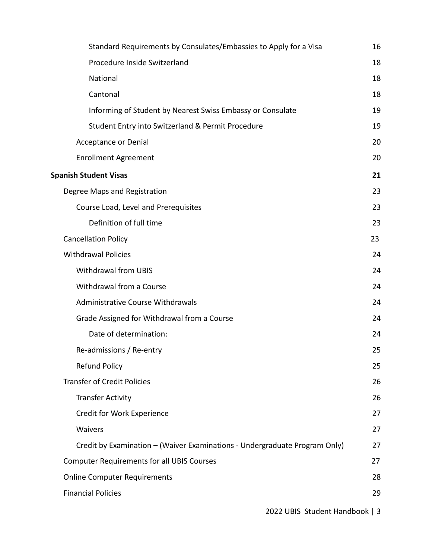| Standard Requirements by Consulates/Embassies to Apply for a Visa          | 16 |
|----------------------------------------------------------------------------|----|
| Procedure Inside Switzerland                                               | 18 |
| National                                                                   | 18 |
| Cantonal                                                                   | 18 |
| Informing of Student by Nearest Swiss Embassy or Consulate                 | 19 |
| Student Entry into Switzerland & Permit Procedure                          | 19 |
| <b>Acceptance or Denial</b>                                                | 20 |
| <b>Enrollment Agreement</b>                                                | 20 |
| <b>Spanish Student Visas</b>                                               | 21 |
| Degree Maps and Registration                                               | 23 |
| Course Load, Level and Prerequisites                                       | 23 |
| Definition of full time                                                    | 23 |
| <b>Cancellation Policy</b>                                                 | 23 |
| <b>Withdrawal Policies</b>                                                 | 24 |
| <b>Withdrawal from UBIS</b>                                                | 24 |
| Withdrawal from a Course                                                   | 24 |
| <b>Administrative Course Withdrawals</b>                                   | 24 |
| Grade Assigned for Withdrawal from a Course                                | 24 |
| Date of determination:                                                     | 24 |
| Re-admissions / Re-entry                                                   | 25 |
| <b>Refund Policy</b>                                                       | 25 |
| <b>Transfer of Credit Policies</b>                                         | 26 |
| <b>Transfer Activity</b>                                                   | 26 |
| Credit for Work Experience                                                 | 27 |
| Waivers                                                                    | 27 |
| Credit by Examination - (Waiver Examinations - Undergraduate Program Only) | 27 |
| <b>Computer Requirements for all UBIS Courses</b>                          | 27 |
| <b>Online Computer Requirements</b>                                        | 28 |
| <b>Financial Policies</b>                                                  | 29 |
|                                                                            |    |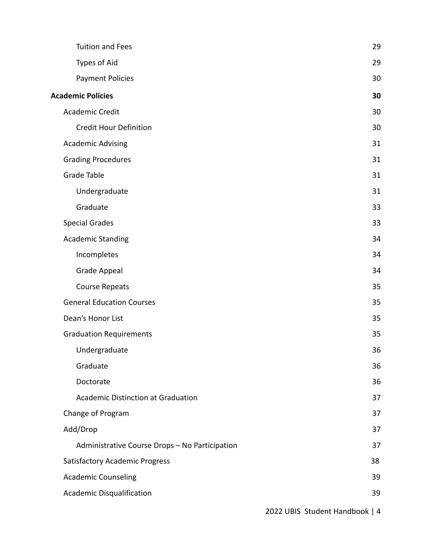| <b>Tuition and Fees</b>                        | 29 |
|------------------------------------------------|----|
| Types of Aid                                   | 29 |
| <b>Payment Policies</b>                        | 30 |
| <b>Academic Policies</b>                       | 30 |
| <b>Academic Credit</b>                         | 30 |
| <b>Credit Hour Definition</b>                  | 30 |
| <b>Academic Advising</b>                       | 31 |
| <b>Grading Procedures</b>                      | 31 |
| Grade Table                                    | 31 |
| Undergraduate                                  | 31 |
| Graduate                                       | 33 |
| <b>Special Grades</b>                          | 33 |
| <b>Academic Standing</b>                       | 34 |
| Incompletes                                    | 34 |
| <b>Grade Appeal</b>                            | 34 |
| <b>Course Repeats</b>                          | 35 |
| <b>General Education Courses</b>               | 35 |
| Dean's Honor List                              | 35 |
| <b>Graduation Requirements</b>                 | 35 |
| Undergraduate                                  | 36 |
| Graduate                                       | 36 |
| Doctorate                                      | 36 |
| <b>Academic Distinction at Graduation</b>      | 37 |
| Change of Program                              | 37 |
| Add/Drop                                       | 37 |
| Administrative Course Drops - No Participation | 37 |
| <b>Satisfactory Academic Progress</b>          | 38 |
| <b>Academic Counseling</b>                     | 39 |
| Academic Disqualification                      | 39 |
|                                                |    |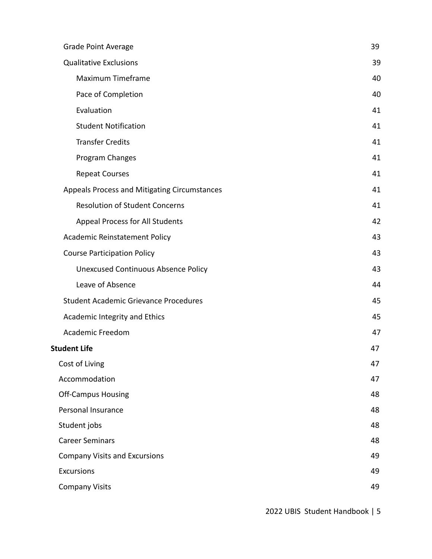| <b>Grade Point Average</b>                   | 39 |
|----------------------------------------------|----|
| <b>Qualitative Exclusions</b>                | 39 |
| Maximum Timeframe                            | 40 |
| Pace of Completion                           | 40 |
| Evaluation                                   | 41 |
| <b>Student Notification</b>                  | 41 |
| <b>Transfer Credits</b>                      | 41 |
| Program Changes                              | 41 |
| <b>Repeat Courses</b>                        | 41 |
| Appeals Process and Mitigating Circumstances | 41 |
| <b>Resolution of Student Concerns</b>        | 41 |
| <b>Appeal Process for All Students</b>       | 42 |
| Academic Reinstatement Policy                | 43 |
| <b>Course Participation Policy</b>           | 43 |
| <b>Unexcused Continuous Absence Policy</b>   | 43 |
| Leave of Absence                             | 44 |
| <b>Student Academic Grievance Procedures</b> | 45 |
| Academic Integrity and Ethics                | 45 |
| <b>Academic Freedom</b>                      | 47 |
| <b>Student Life</b>                          | 47 |
| Cost of Living                               | 47 |
| Accommodation                                | 47 |
| <b>Off-Campus Housing</b>                    | 48 |
| Personal Insurance                           | 48 |
| Student jobs                                 | 48 |
| <b>Career Seminars</b>                       | 48 |
| <b>Company Visits and Excursions</b>         | 49 |
| <b>Excursions</b>                            | 49 |
| <b>Company Visits</b>                        | 49 |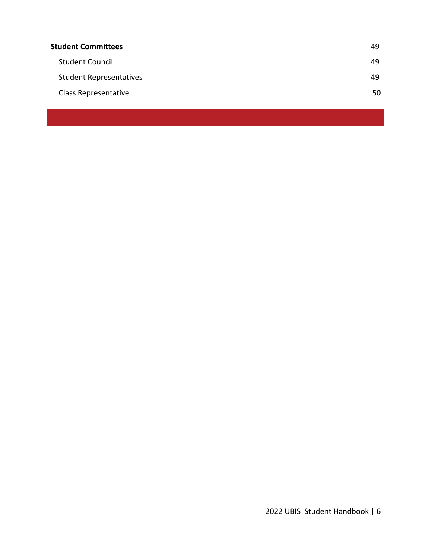| 49 |
|----|
| 49 |
| 49 |
| 50 |
|    |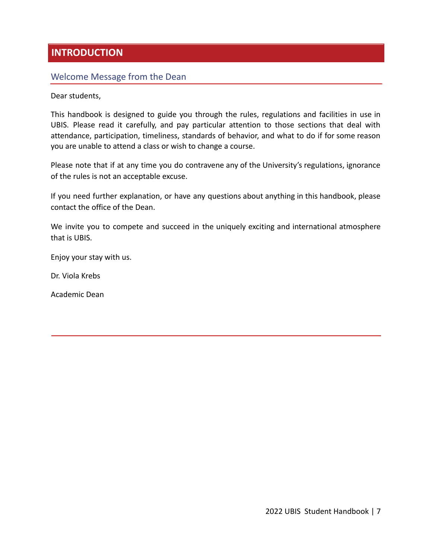## <span id="page-7-0"></span>**INTRODUCTION**

#### Welcome Message from the Dean

Dear students,

This handbook is designed to guide you through the rules, regulations and facilities in use in UBIS. Please read it carefully, and pay particular attention to those sections that deal with attendance, participation, timeliness, standards of behavior, and what to do if for some reason you are unable to attend a class or wish to change a course.

Please note that if at any time you do contravene any of the University's regulations, ignorance of the rules is not an acceptable excuse.

If you need further explanation, or have any questions about anything in this handbook, please contact the office of the Dean.

We invite you to compete and succeed in the uniquely exciting and international atmosphere that is UBIS.

Enjoy your stay with us.

Dr. Viola Krebs

Academic Dean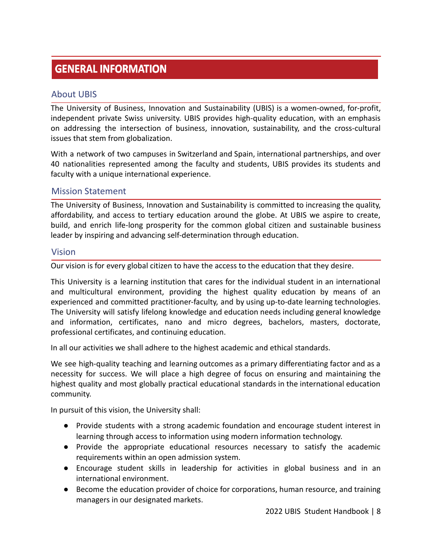# **GENERAL INFORMATION**

#### <span id="page-8-0"></span>About UBIS

The University of Business, Innovation and Sustainability (UBIS) is a women-owned, for-profit, independent private Swiss university. UBIS provides high-quality education, with an emphasis on addressing the intersection of business, innovation, sustainability, and the cross-cultural issues that stem from globalization.

With a network of two campuses in Switzerland and Spain, international partnerships, and over 40 nationalities represented among the faculty and students, UBIS provides its students and faculty with a unique international experience.

#### <span id="page-8-1"></span>Mission Statement

The University of Business, Innovation and Sustainability is committed to increasing the quality, affordability, and access to tertiary education around the globe. At UBIS we aspire to create, build, and enrich life-long prosperity for the common global citizen and sustainable business leader by inspiring and advancing self-determination through education.

#### <span id="page-8-2"></span>Vision

Our vision is for every global citizen to have the access to the education that they desire.

This University is a learning institution that cares for the individual student in an international and multicultural environment, providing the highest quality education by means of an experienced and committed practitioner-faculty, and by using up-to-date learning technologies. The University will satisfy lifelong knowledge and education needs including general knowledge and information, certificates, nano and micro degrees, bachelors, masters, doctorate, professional certificates, and continuing education.

In all our activities we shall adhere to the highest academic and ethical standards.

We see high-quality teaching and learning outcomes as a primary differentiating factor and as a necessity for success. We will place a high degree of focus on ensuring and maintaining the highest quality and most globally practical educational standards in the international education community.

In pursuit of this vision, the University shall:

- Provide students with a strong academic foundation and encourage student interest in learning through access to information using modern information technology.
- Provide the appropriate educational resources necessary to satisfy the academic requirements within an open admission system.
- Encourage student skills in leadership for activities in global business and in an international environment.
- Become the education provider of choice for corporations, human resource, and training managers in our designated markets.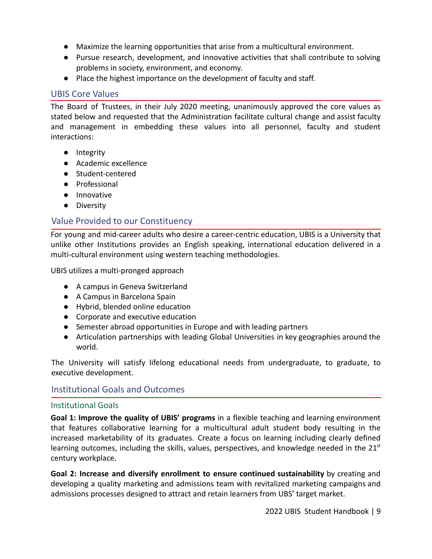- Maximize the learning opportunities that arise from a multicultural environment.
- Pursue research, development, and innovative activities that shall contribute to solving problems in society, environment, and economy.
- Place the highest importance on the development of faculty and staff.

## <span id="page-9-0"></span>UBIS Core Values

The Board of Trustees, in their July 2020 meeting, unanimously approved the core values as stated below and requested that the Administration facilitate cultural change and assist faculty and management in embedding these values into all personnel, faculty and student interactions:

- Integrity
- Academic excellence
- Student-centered
- Professional
- Innovative
- Diversity

## <span id="page-9-1"></span>Value Provided to our Constituency

For young and mid-career adults who desire a career-centric education, UBIS is a University that unlike other Institutions provides an English speaking, international education delivered in a multi-cultural environment using western teaching methodologies.

UBIS utilizes a multi-pronged approach

- A campus in Geneva Switzerland
- A Campus in Barcelona Spain
- Hybrid, blended online education
- Corporate and executive education
- Semester abroad opportunities in Europe and with leading partners
- Articulation partnerships with leading Global Universities in key geographies around the world.

The University will satisfy lifelong educational needs from undergraduate, to graduate, to executive development.

#### <span id="page-9-2"></span>Institutional Goals and Outcomes

#### <span id="page-9-3"></span>Institutional Goals

**Goal 1: Improve the quality of UBIS' programs** in a flexible teaching and learning environment that features collaborative learning for a multicultural adult student body resulting in the increased marketability of its graduates. Create a focus on learning including clearly defined learning outcomes, including the skills, values, perspectives, and knowledge needed in the  $21<sup>st</sup>$ century workplace.

**Goal 2: Increase and diversify enrollment to ensure continued sustainability** by creating and developing a quality marketing and admissions team with revitalized marketing campaigns and admissions processes designed to attract and retain learners from UBS' target market.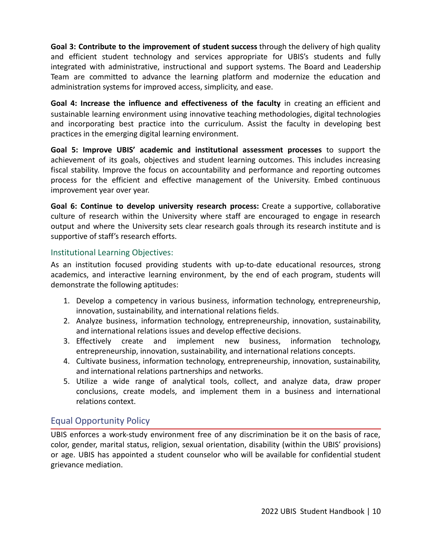**Goal 3: Contribute to the improvement of student success** through the delivery of high quality and efficient student technology and services appropriate for UBIS's students and fully integrated with administrative, instructional and support systems. The Board and Leadership Team are committed to advance the learning platform and modernize the education and administration systems for improved access, simplicity, and ease.

**Goal 4: Increase the influence and effectiveness of the faculty** in creating an efficient and sustainable learning environment using innovative teaching methodologies, digital technologies and incorporating best practice into the curriculum. Assist the faculty in developing best practices in the emerging digital learning environment.

**Goal 5: Improve UBIS' academic and institutional assessment processes** to support the achievement of its goals, objectives and student learning outcomes. This includes increasing fiscal stability. Improve the focus on accountability and performance and reporting outcomes process for the efficient and effective management of the University. Embed continuous improvement year over year.

**Goal 6: Continue to develop university research process:** Create a supportive, collaborative culture of research within the University where staff are encouraged to engage in research output and where the University sets clear research goals through its research institute and is supportive of staff's research efforts.

#### <span id="page-10-0"></span>Institutional Learning Objectives:

As an institution focused providing students with up-to-date educational resources, strong academics, and interactive learning environment, by the end of each program, students will demonstrate the following aptitudes:

- 1. Develop a competency in various business, information technology, entrepreneurship, innovation, sustainability, and international relations fields.
- 2. Analyze business, information technology, entrepreneurship, innovation, sustainability, and international relations issues and develop effective decisions.
- 3. Effectively create and implement new business, information technology, entrepreneurship, innovation, sustainability, and international relations concepts.
- 4. Cultivate business, information technology, entrepreneurship, innovation, sustainability, and international relations partnerships and networks.
- 5. Utilize a wide range of analytical tools, collect, and analyze data, draw proper conclusions, create models, and implement them in a business and international relations context.

## <span id="page-10-1"></span>Equal Opportunity Policy

UBIS enforces a work-study environment free of any discrimination be it on the basis of race, color, gender, marital status, religion, sexual orientation, disability (within the UBIS' provisions) or age. UBIS has appointed a student counselor who will be available for confidential student grievance mediation.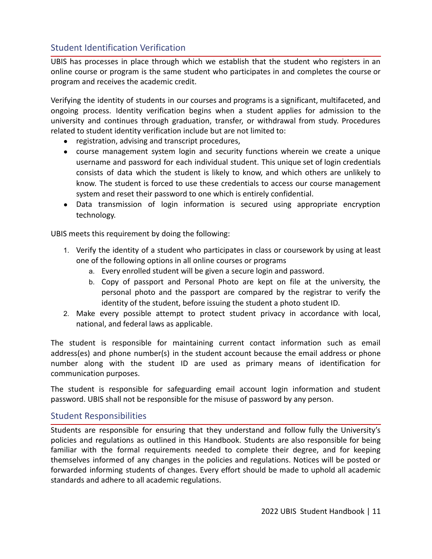## <span id="page-11-0"></span>Student Identification Verification

UBIS has processes in place through which we establish that the student who registers in an online course or program is the same student who participates in and completes the course or program and receives the academic credit.

Verifying the identity of students in our courses and programs is a significant, multifaceted, and ongoing process. Identity verification begins when a student applies for admission to the university and continues through graduation, transfer, or withdrawal from study. Procedures related to student identity verification include but are not limited to:

- registration, advising and transcript procedures,
- course management system login and security functions wherein we create a unique username and password for each individual student. This unique set of login credentials consists of data which the student is likely to know, and which others are unlikely to know. The student is forced to use these credentials to access our course management system and reset their password to one which is entirely confidential.
- Data transmission of login information is secured using appropriate encryption technology.

UBIS meets this requirement by doing the following:

- 1. Verify the identity of a student who participates in class or coursework by using at least one of the following options in all online courses or programs
	- a. Every enrolled student will be given a secure login and password.
	- b. Copy of passport and Personal Photo are kept on file at the university, the personal photo and the passport are compared by the registrar to verify the identity of the student, before issuing the student a photo student ID.
- 2. Make every possible attempt to protect student privacy in accordance with local, national, and federal laws as applicable.

The student is responsible for maintaining current contact information such as email address(es) and phone number(s) in the student account because the email address or phone number along with the student ID are used as primary means of identification for communication purposes.

The student is responsible for safeguarding email account login information and student password. UBIS shall not be responsible for the misuse of password by any person.

#### <span id="page-11-1"></span>Student Responsibilities

Students are responsible for ensuring that they understand and follow fully the University's policies and regulations as outlined in this Handbook. Students are also responsible for being familiar with the formal requirements needed to complete their degree, and for keeping themselves informed of any changes in the policies and regulations. Notices will be posted or forwarded informing students of changes. Every effort should be made to uphold all academic standards and adhere to all academic regulations.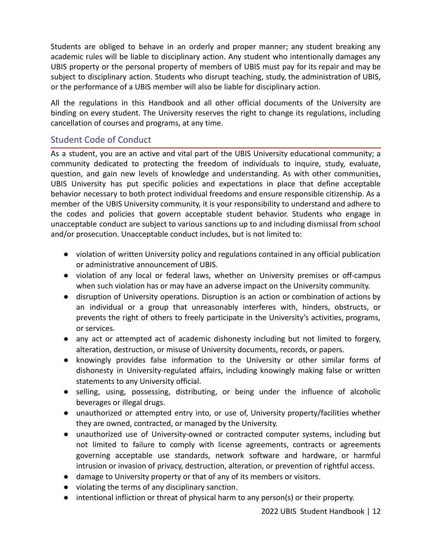Students are obliged to behave in an orderly and proper manner; any student breaking any academic rules will be liable to disciplinary action. Any student who intentionally damages any UBIS property or the personal property of members of UBIS must pay for its repair and may be subject to disciplinary action. Students who disrupt teaching, study, the administration of UBIS, or the performance of a UBIS member will also be liable for disciplinary action.

All the regulations in this Handbook and all other official documents of the University are binding on every student. The University reserves the right to change its regulations, including cancellation of courses and programs, at any time.

## <span id="page-12-0"></span>Student Code of Conduct

As a student, you are an active and vital part of the UBIS University educational community; a community dedicated to protecting the freedom of individuals to inquire, study, evaluate, question, and gain new levels of knowledge and understanding. As with other communities, UBIS University has put specific policies and expectations in place that define acceptable behavior necessary to both protect individual freedoms and ensure responsible citizenship. As a member of the UBIS University community, it is your responsibility to understand and adhere to the codes and policies that govern acceptable student behavior. Students who engage in unacceptable conduct are subject to various sanctions up to and including dismissal from school and/or prosecution. Unacceptable conduct includes, but is not limited to:

- violation of written University policy and regulations contained in any official publication or administrative announcement of UBIS.
- violation of any local or federal laws, whether on University premises or off-campus when such violation has or may have an adverse impact on the University community.
- disruption of University operations. Disruption is an action or combination of actions by an individual or a group that unreasonably interferes with, hinders, obstructs, or prevents the right of others to freely participate in the University's activities, programs, or services.
- any act or attempted act of academic dishonesty including but not limited to forgery, alteration, destruction, or misuse of University documents, records, or papers.
- knowingly provides false information to the University or other similar forms of dishonesty in University-regulated affairs, including knowingly making false or written statements to any University official.
- selling, using, possessing, distributing, or being under the influence of alcoholic beverages or illegal drugs.
- unauthorized or attempted entry into, or use of, University property/facilities whether they are owned, contracted, or managed by the University.
- unauthorized use of University-owned or contracted computer systems, including but not limited to failure to comply with license agreements, contracts or agreements governing acceptable use standards, network software and hardware, or harmful intrusion or invasion of privacy, destruction, alteration, or prevention of rightful access.
- damage to University property or that of any of its members or visitors.
- violating the terms of any disciplinary sanction.
- intentional infliction or threat of physical harm to any person(s) or their property.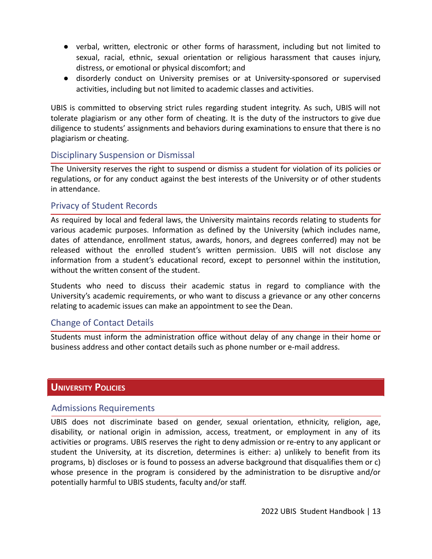- verbal, written, electronic or other forms of harassment, including but not limited to sexual, racial, ethnic, sexual orientation or religious harassment that causes injury, distress, or emotional or physical discomfort; and
- disorderly conduct on University premises or at University-sponsored or supervised activities, including but not limited to academic classes and activities.

UBIS is committed to observing strict rules regarding student integrity. As such, UBIS will not tolerate plagiarism or any other form of cheating. It is the duty of the instructors to give due diligence to students' assignments and behaviors during examinations to ensure that there is no plagiarism or cheating.

#### <span id="page-13-0"></span>Disciplinary Suspension or Dismissal

The University reserves the right to suspend or dismiss a student for violation of its policies or regulations, or for any conduct against the best interests of the University or of other students in attendance.

#### <span id="page-13-1"></span>Privacy of Student Records

As required by local and federal laws, the University maintains records relating to students for various academic purposes. Information as defined by the University (which includes name, dates of attendance, enrollment status, awards, honors, and degrees conferred) may not be released without the enrolled student's written permission. UBIS will not disclose any information from a student's educational record, except to personnel within the institution, without the written consent of the student.

Students who need to discuss their academic status in regard to compliance with the University's academic requirements, or who want to discuss a grievance or any other concerns relating to academic issues can make an appointment to see the Dean.

#### <span id="page-13-2"></span>Change of Contact Details

Students must inform the administration office without delay of any change in their home or business address and other contact details such as phone number or e-mail address.

## <span id="page-13-3"></span>**UNIVERSITY POLICIES**

#### <span id="page-13-4"></span>Admissions Requirements

UBIS does not discriminate based on gender, sexual orientation, ethnicity, religion, age, disability, or national origin in admission, access, treatment, or employment in any of its activities or programs. UBIS reserves the right to deny admission or re-entry to any applicant or student the University, at its discretion, determines is either: a) unlikely to benefit from its programs, b) discloses or is found to possess an adverse background that disqualifies them or c) whose presence in the program is considered by the administration to be disruptive and/or potentially harmful to UBIS students, faculty and/or staff.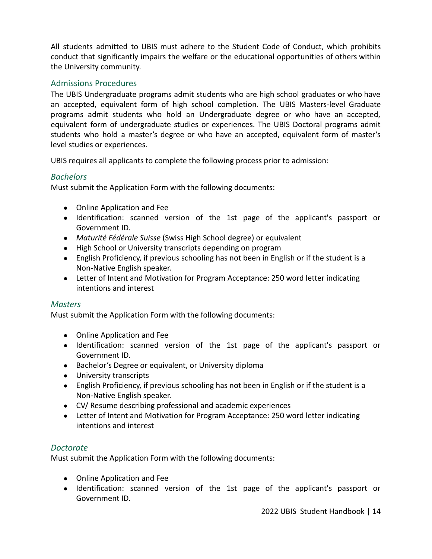All students admitted to UBIS must adhere to the Student Code of Conduct, which prohibits conduct that significantly impairs the welfare or the educational opportunities of others within the University community.

#### <span id="page-14-0"></span>Admissions Procedures

The UBIS Undergraduate programs admit students who are high school graduates or who have an accepted, equivalent form of high school completion. The UBIS Masters-level Graduate programs admit students who hold an Undergraduate degree or who have an accepted, equivalent form of undergraduate studies or experiences. The UBIS Doctoral programs admit students who hold a master's degree or who have an accepted, equivalent form of master's level studies or experiences.

UBIS requires all applicants to complete the following process prior to admission:

#### <span id="page-14-1"></span>*Bachelors*

Must submit the Application Form with the following documents:

- Online Application and Fee
- Identification: scanned version of the 1st page of the applicant's passport or Government ID.
- *Maturité Fédérale Suisse* (Swiss High School degree) or equivalent
- High School or University transcripts depending on program
- English Proficiency, if previous schooling has not been in English or if the student is a Non-Native English speaker.
- Letter of Intent and Motivation for Program Acceptance: 250 word letter indicating intentions and interest

#### <span id="page-14-2"></span>*Masters*

Must submit the Application Form with the following documents:

- Online Application and Fee
- Identification: scanned version of the 1st page of the applicant's passport or Government ID.
- Bachelor's Degree or equivalent, or University diploma
- University transcripts
- English Proficiency, if previous schooling has not been in English or if the student is a Non-Native English speaker.
- CV/ Resume describing professional and academic experiences
- Letter of Intent and Motivation for Program Acceptance: 250 word letter indicating intentions and interest

#### <span id="page-14-3"></span>*Doctorate*

Must submit the Application Form with the following documents:

- Online Application and Fee
- Identification: scanned version of the 1st page of the applicant's passport or Government ID.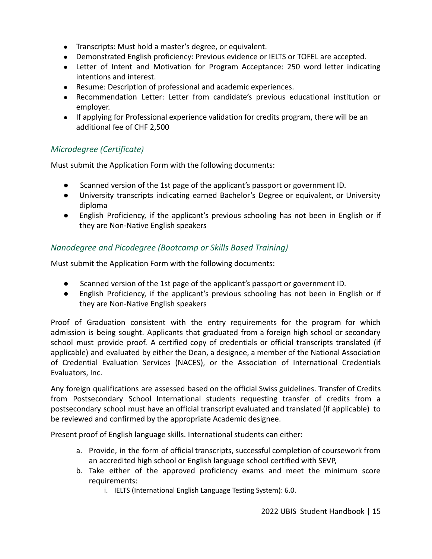- Transcripts: Must hold a master's degree, or equivalent.
- Demonstrated English proficiency: Previous evidence or IELTS or TOFEL are accepted.
- Letter of Intent and Motivation for Program Acceptance: 250 word letter indicating intentions and interest.
- Resume: Description of professional and academic experiences.
- Recommendation Letter: Letter from candidate's previous educational institution or employer.
- If applying for Professional experience validation for credits program, there will be an additional fee of CHF 2,500

## <span id="page-15-0"></span>*Microdegree (Certificate)*

Must submit the Application Form with the following documents:

- Scanned version of the 1st page of the applicant's passport or government ID.
- University transcripts indicating earned Bachelor's Degree or equivalent, or University diploma
- English Proficiency, if the applicant's previous schooling has not been in English or if they are Non-Native English speakers

#### <span id="page-15-1"></span>*Nanodegree and Picodegree (Bootcamp or Skills Based Training)*

Must submit the Application Form with the following documents:

- Scanned version of the 1st page of the applicant's passport or government ID.
- English Proficiency, if the applicant's previous schooling has not been in English or if they are Non-Native English speakers

Proof of Graduation consistent with the entry requirements for the program for which admission is being sought. Applicants that graduated from a foreign high school or secondary school must provide proof. A certified copy of credentials or official transcripts translated (if applicable) and evaluated by either the Dean, a designee, a member of the National Association of Credential Evaluation Services (NACES), or the Association of International Credentials Evaluators, Inc.

Any foreign qualifications are assessed based on the official Swiss guidelines. Transfer of Credits from Postsecondary School International students requesting transfer of credits from a postsecondary school must have an official transcript evaluated and translated (if applicable) to be reviewed and confirmed by the appropriate Academic designee.

Present proof of English language skills. International students can either:

- a. Provide, in the form of official transcripts, successful completion of coursework from an accredited high school or English language school certified with SEVP,
- b. Take either of the approved proficiency exams and meet the minimum score requirements:
	- i. IELTS (International English Language Testing System): 6.0.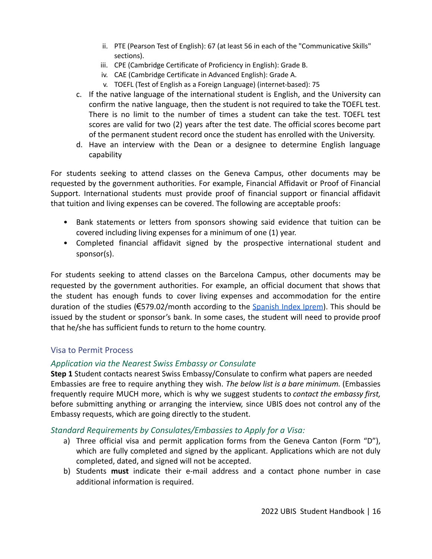- ii. PTE (Pearson Test of English): 67 (at least 56 in each of the "Communicative Skills" sections).
- iii. CPE (Cambridge Certificate of Proficiency in English): Grade B.
- iv. CAE (Cambridge Certificate in Advanced English): Grade A.
- v. TOEFL (Test of English as a Foreign Language) (internet-based): 75
- c. If the native language of the international student is English, and the University can confirm the native language, then the student is not required to take the TOEFL test. There is no limit to the number of times a student can take the test. TOEFL test scores are valid for two (2) years after the test date. The official scores become part of the permanent student record once the student has enrolled with the University.
- d. Have an interview with the Dean or a designee to determine English language capability

For students seeking to attend classes on the Geneva Campus, other documents may be requested by the government authorities. For example, Financial Affidavit or Proof of Financial Support. International students must provide proof of financial support or financial affidavit that tuition and living expenses can be covered. The following are acceptable proofs:

- Bank statements or letters from sponsors showing said evidence that tuition can be covered including living expenses for a minimum of one (1) year.
- Completed financial affidavit signed by the prospective international student and sponsor(s).

For students seeking to attend classes on the Barcelona Campus, other documents may be requested by the government authorities. For example, an official document that shows that the student has enough funds to cover living expenses and accommodation for the entire duration of the studies ( $\epsilon$ 579.02/month according to the [Spanish](http://www.iprem.com.es/) Index Iprem). This should be issued by the student or sponsor's bank. In some cases, the student will need to provide proof that he/she has sufficient funds to return to the home country.

#### <span id="page-16-0"></span>Visa to Permit Process

#### <span id="page-16-1"></span>*Application via the Nearest Swiss Embassy or Consulate*

**Step 1** Student contacts nearest Swiss Embassy/Consulate to confirm what papers are needed Embassies are free to require anything they wish. *The below list is a bare minimum.* (Embassies frequently require MUCH more, which is why we suggest students to *contact the embassy first,* before submitting anything or arranging the interview, since UBIS does not control any of the Embassy requests, which are going directly to the student.

#### <span id="page-16-2"></span>*Standard Requirements by Consulates/Embassies to Apply for a Visa:*

- a) Three official visa and permit application forms from the Geneva Canton (Form "D"), which are fully completed and signed by the applicant. Applications which are not duly completed, dated, and signed will not be accepted.
- b) Students **must** indicate their e-mail address and a contact phone number in case additional information is required.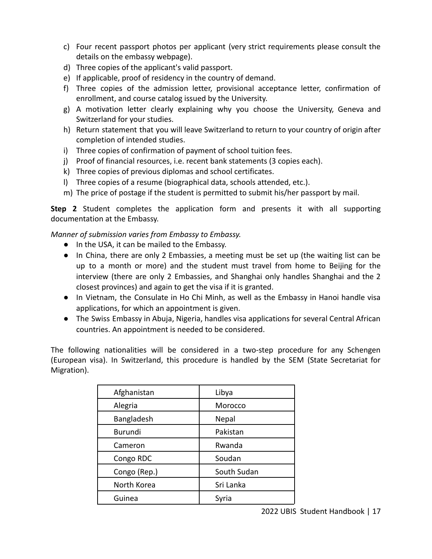- c) Four recent passport photos per applicant (very strict requirements please consult the details on the embassy webpage).
- d) Three copies of the applicant's valid passport.
- e) If applicable, proof of residency in the country of demand.
- f) Three copies of the admission letter, provisional acceptance letter, confirmation of enrollment, and course catalog issued by the University.
- g) A motivation letter clearly explaining why you choose the University, Geneva and Switzerland for your studies.
- h) Return statement that you will leave Switzerland to return to your country of origin after completion of intended studies.
- i) Three copies of confirmation of payment of school tuition fees.
- j) Proof of financial resources, i.e. recent bank statements (3 copies each).
- k) Three copies of previous diplomas and school certificates.
- l) Three copies of a resume (biographical data, schools attended, etc.).
- m) The price of postage if the student is permitted to submit his/her passport by mail.

**Step 2** Student completes the application form and presents it with all supporting documentation at the Embassy.

*Manner of submission varies from Embassy to Embassy.*

- In the USA, it can be mailed to the Embassy.
- In China, there are only 2 Embassies, a meeting must be set up (the waiting list can be up to a month or more) and the student must travel from home to Beijing for the interview (there are only 2 Embassies, and Shanghai only handles Shanghai and the 2 closest provinces) and again to get the visa if it is granted.
- In Vietnam, the Consulate in Ho Chi Minh, as well as the Embassy in Hanoi handle visa applications, for which an appointment is given.
- The Swiss Embassy in Abuja, Nigeria, handles visa applications for several Central African countries. An appointment is needed to be considered.

The following nationalities will be considered in a two-step procedure for any Schengen (European visa). In Switzerland, this procedure is handled by the SEM (State Secretariat for Migration).

| Afghanistan  | Libya       |
|--------------|-------------|
| Alegria      | Morocco     |
| Bangladesh   | Nepal       |
| Burundi      | Pakistan    |
| Cameron      | Rwanda      |
| Congo RDC    | Soudan      |
| Congo (Rep.) | South Sudan |
| North Korea  | Sri Lanka   |
| Guinea       | Syria       |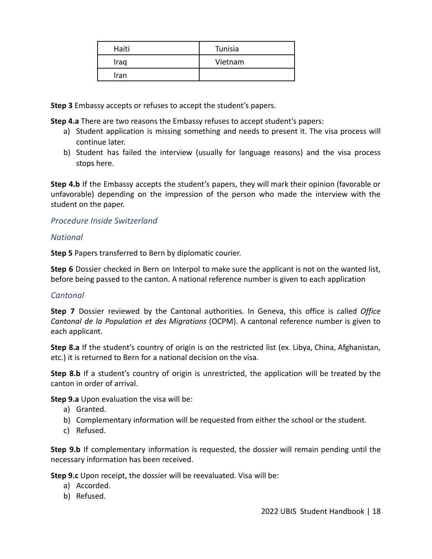| Haiti | Tunisia |
|-------|---------|
| Iraq  | Vietnam |
| Iran  |         |

**Step 3** Embassy accepts or refuses to accept the student's papers.

**Step 4.a** There are two reasons the Embassy refuses to accept student's papers:

- a) Student application is missing something and needs to present it. The visa process will continue later.
- b) Student has failed the interview (usually for language reasons) and the visa process stops here.

**Step 4.b** If the Embassy accepts the student's papers, they will mark their opinion (favorable or unfavorable) depending on the impression of the person who made the interview with the student on the paper.

#### <span id="page-18-0"></span>*Procedure Inside Switzerland*

#### <span id="page-18-1"></span>*National*

**Step 5** Papers transferred to Bern by diplomatic courier.

**Step 6** Dossier checked in Bern on Interpol to make sure the applicant is not on the wanted list, before being passed to the canton. A national reference number is given to each application

#### <span id="page-18-2"></span>*Cantonal*

**Step 7** Dossier reviewed by the Cantonal authorities. In Geneva, this office is called *Office Cantonal de la Population et des Migrations* (OCPM). A cantonal reference number is given to each applicant.

**Step 8.a** If the student's country of origin is on the restricted list (ex. Libya, China, Afghanistan, etc.) it is returned to Bern for a national decision on the visa.

**Step 8.b** If a student's country of origin is unrestricted, the application will be treated by the canton in order of arrival.

**Step 9.a** Upon evaluation the visa will be:

- a) Granted.
- b) Complementary information will be requested from either the school or the student.
- c) Refused.

**Step 9.b** If complementary information is requested, the dossier will remain pending until the necessary information has been received.

**Step 9.c** Upon receipt, the dossier will be reevaluated. Visa will be:

- a) Accorded.
- b) Refused.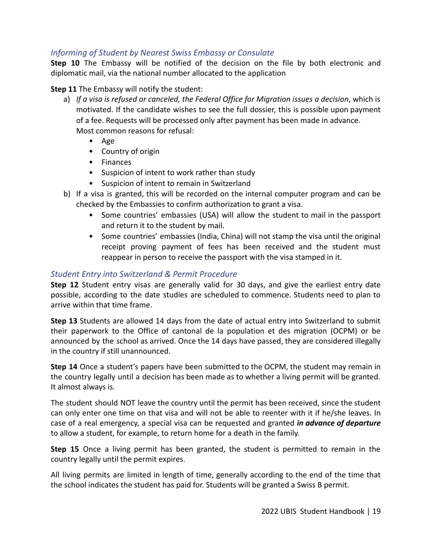#### <span id="page-19-0"></span>*Informing of Student by Nearest Swiss Embassy or Consulate*

**Step 10** The Embassy will be notified of the decision on the file by both electronic and diplomatic mail, via the national number allocated to the application

#### **Step 11** The Embassy will notify the student:

- a) *If a visa is refused or canceled, the Federal Office for Migration issues a decision*, which is motivated. If the candidate wishes to see the full dossier, this is possible upon payment of a fee. Requests will be processed only after payment has been made in advance. Most common reasons for refusal:
	- Age
	- Country of origin
	- Finances
	- Suspicion of intent to work rather than study
	- Suspicion of intent to remain in Switzerland
- b) If a visa is granted, this will be recorded on the internal computer program and can be checked by the Embassies to confirm authorization to grant a visa.
	- Some countries' embassies (USA) will allow the student to mail in the passport and return it to the student by mail.
	- Some countries' embassies (India, China) will not stamp the visa until the original receipt proving payment of fees has been received and the student must reappear in person to receive the passport with the visa stamped in it.

#### <span id="page-19-1"></span>*Student Entry into Switzerland & Permit Procedure*

**Step 12** Student entry visas are generally valid for 30 days, and give the earliest entry date possible, according to the date studies are scheduled to commence. Students need to plan to arrive within that time frame.

**Step 13** Students are allowed 14 days from the date of actual entry into Switzerland to submit their paperwork to the Office of cantonal de la population et des migration (OCPM) or be announced by the school as arrived. Once the 14 days have passed, they are considered illegally in the country if still unannounced.

**Step 14** Once a student's papers have been submitted to the OCPM, the student may remain in the country legally until a decision has been made as to whether a living permit will be granted. It almost always is.

The student should NOT leave the country until the permit has been received, since the student can only enter one time on that visa and will not be able to reenter with it if he/she leaves. In case of a real emergency, a special visa can be requested and granted *in advance of departure* to allow a student, for example, to return home for a death in the family.

**Step 15** Once a living permit has been granted, the student is permitted to remain in the country legally until the permit expires.

All living permits are limited in length of time, generally according to the end of the time that the school indicates the student has paid for. Students will be granted a Swiss B permit.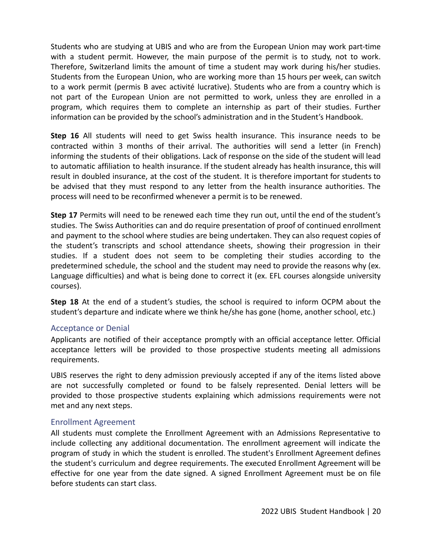Students who are studying at UBIS and who are from the European Union may work part-time with a student permit. However, the main purpose of the permit is to study, not to work. Therefore, Switzerland limits the amount of time a student may work during his/her studies. Students from the European Union, who are working more than 15 hours per week, can switch to a work permit (permis B avec activité lucrative). Students who are from a country which is not part of the European Union are not permitted to work, unless they are enrolled in a program, which requires them to complete an internship as part of their studies. Further information can be provided by the school's administration and in the Student's Handbook.

**Step 16** All students will need to get Swiss health insurance. This insurance needs to be contracted within 3 months of their arrival. The authorities will send a letter (in French) informing the students of their obligations. Lack of response on the side of the student will lead to automatic affiliation to health insurance. If the student already has health insurance, this will result in doubled insurance, at the cost of the student. It is therefore important for students to be advised that they must respond to any letter from the health insurance authorities. The process will need to be reconfirmed whenever a permit is to be renewed.

**Step 17** Permits will need to be renewed each time they run out, until the end of the student's studies. The Swiss Authorities can and do require presentation of proof of continued enrollment and payment to the school where studies are being undertaken. They can also request copies of the student's transcripts and school attendance sheets, showing their progression in their studies. If a student does not seem to be completing their studies according to the predetermined schedule, the school and the student may need to provide the reasons why (ex. Language difficulties) and what is being done to correct it (ex. EFL courses alongside university courses).

**Step 18** At the end of a student's studies, the school is required to inform OCPM about the student's departure and indicate where we think he/she has gone (home, another school, etc.)

#### <span id="page-20-0"></span>Acceptance or Denial

Applicants are notified of their acceptance promptly with an official acceptance letter. Official acceptance letters will be provided to those prospective students meeting all admissions requirements.

UBIS reserves the right to deny admission previously accepted if any of the items listed above are not successfully completed or found to be falsely represented. Denial letters will be provided to those prospective students explaining which admissions requirements were not met and any next steps.

#### <span id="page-20-1"></span>Enrollment Agreement

All students must complete the Enrollment Agreement with an Admissions Representative to include collecting any additional documentation. The enrollment agreement will indicate the program of study in which the student is enrolled. The student's Enrollment Agreement defines the student's curriculum and degree requirements. The executed Enrollment Agreement will be effective for one year from the date signed. A signed Enrollment Agreement must be on file before students can start class.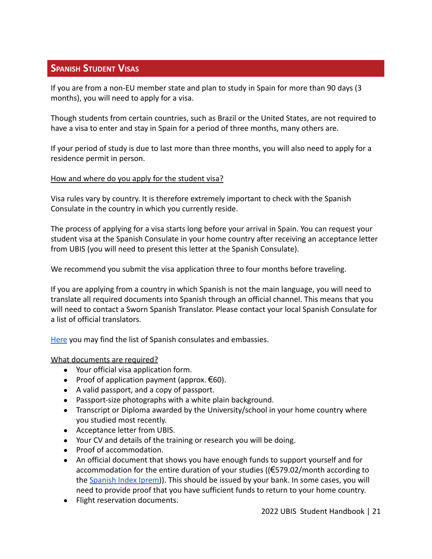## <span id="page-21-0"></span>**SPANISH STUDENT VISAS**

If you are from a non-EU member state and plan to study in Spain for more than 90 days (3 months), you will need to apply for a visa.

Though students from certain countries, such as Brazil or the United States, are not required to have a visa to enter and stay in Spain for a period of three months, many others are.

If your period of study is due to last more than three months, you will also need to apply for a residence permit in person.

#### How and where do you apply for the student visa?

Visa rules vary by country. It is therefore extremely important to check with the Spanish Consulate in the country in which you currently reside.

The process of applying for a visa starts long before your arrival in Spain. You can request your student visa at the Spanish Consulate in your home country after receiving an acceptance letter from UBIS (you will need to present this letter at the Spanish Consulate).

We recommend you submit the visa application three to four months before traveling.

If you are applying from a country in which Spanish is not the main language, you will need to translate all required documents into Spanish through an official channel. This means that you will need to contact a Sworn Spanish Translator. Please contact your local Spanish Consulate for a list of official translators.

[Here](http://www.exteriores.gob.es/Portal/en/ServiciosAlCiudadano/Paginas/EmbajadasConsulados.aspx) you may find the list of Spanish consulates and embassies.

#### What documents are required?

- Your official visa application form.
- Proof of application payment (approx.  $\epsilon$ 60).
- A valid passport, and a copy of passport.
- Passport-size photographs with a white plain background.
- Transcript or Diploma awarded by the University/school in your home country where you studied most recently.
- Acceptance letter from UBIS.
- Your CV and details of the training or research you will be doing.
- Proof of accommodation.
- An official document that shows you have enough funds to support yourself and for accommodation for the entire duration of your studies ((€579.02/month according to the [Spanish Index Iprem\)](http://www.iprem.com.es/)). This should be issued by your bank. In some cases, you will need to provide proof that you have sufficient funds to return to your home country.
- Flight reservation documents.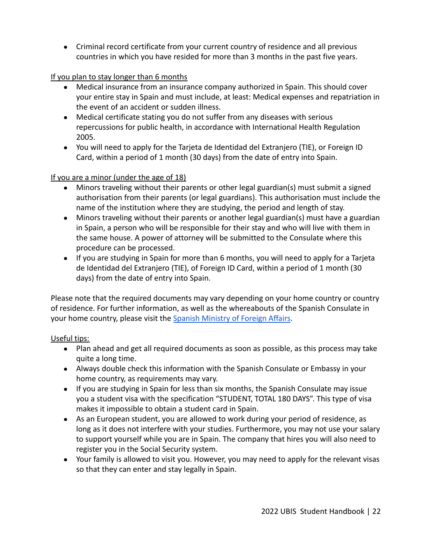● Criminal record certificate from your current country of residence and all previous countries in which you have resided for more than 3 months in the past five years.

#### If you plan to stay longer than 6 months

- Medical insurance from an insurance company authorized in Spain. This should cover your entire stay in Spain and must include, at least: Medical expenses and repatriation in the event of an accident or sudden illness.
- Medical certificate stating you do not suffer from any diseases with serious repercussions for public health, in accordance with International Health Regulation 2005.
- You will need to apply for the Tarjeta de Identidad del Extranjero (TIE), or Foreign ID Card, within a period of 1 month (30 days) from the date of entry into Spain.

#### If you are a minor (under the age of 18)

- Minors traveling without their parents or other legal guardian(s) must submit a signed authorisation from their parents (or legal guardians). This authorisation must include the name of the institution where they are studying, the period and length of stay.
- Minors traveling without their parents or another legal guardian(s) must have a guardian in Spain, a person who will be responsible for their stay and who will live with them in the same house. A power of attorney will be submitted to the Consulate where this procedure can be processed.
- If you are studying in Spain for more than 6 months, you will need to apply for a Tarjeta de Identidad del Extranjero (TIE), of Foreign ID Card, within a period of 1 month (30 days) from the date of entry into Spain.

Please note that the required documents may vary depending on your home country or country of residence. For further information, as well as the whereabouts of the Spanish Consulate in your home country, please visit the Spanish Ministry [of Foreign Affairs.](http://www.exteriores.gob.es/Portal/en/Paginas/inicio.aspx)

#### Useful tips:

- Plan ahead and get all required documents as soon as possible, as this process may take quite a long time.
- Always double check this information with the Spanish Consulate or Embassy in your home country, as requirements may vary.
- If you are studying in Spain for less than six months, the Spanish Consulate may issue you a student visa with the specification "STUDENT, TOTAL 180 DAYS". This type of visa makes it impossible to obtain a student card in Spain.
- As an European student, you are allowed to work during your period of residence, as long as it does not interfere with your studies. Furthermore, you may not use your salary to support yourself while you are in Spain. The company that hires you will also need to register you in the Social Security system.
- Your family is allowed to visit you. However, you may need to apply for the relevant visas so that they can enter and stay legally in Spain.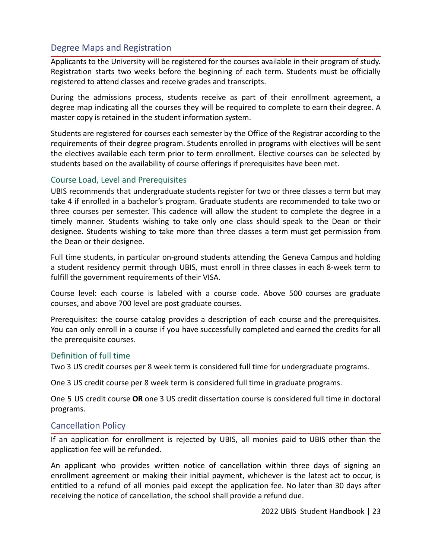## <span id="page-23-0"></span>Degree Maps and Registration

Applicants to the University will be registered for the courses available in their program of study. Registration starts two weeks before the beginning of each term. Students must be officially registered to attend classes and receive grades and transcripts.

During the admissions process, students receive as part of their enrollment agreement, a degree map indicating all the courses they will be required to complete to earn their degree. A master copy is retained in the student information system.

Students are registered for courses each semester by the Office of the Registrar according to the requirements of their degree program. Students enrolled in programs with electives will be sent the electives available each term prior to term enrollment. Elective courses can be selected by students based on the availability of course offerings if prerequisites have been met.

#### <span id="page-23-1"></span>Course Load, Level and Prerequisites

UBIS recommends that undergraduate students register for two or three classes a term but may take 4 if enrolled in a bachelor's program. Graduate students are recommended to take two or three courses per semester. This cadence will allow the student to complete the degree in a timely manner. Students wishing to take only one class should speak to the Dean or their designee. Students wishing to take more than three classes a term must get permission from the Dean or their designee.

Full time students, in particular on-ground students attending the Geneva Campus and holding a student residency permit through UBIS, must enroll in three classes in each 8-week term to fulfill the government requirements of their VISA.

Course level: each course is labeled with a course code. Above 500 courses are graduate courses, and above 700 level are post graduate courses.

Prerequisites: the course catalog provides a description of each course and the prerequisites. You can only enroll in a course if you have successfully completed and earned the credits for all the prerequisite courses.

#### <span id="page-23-2"></span>Definition of full time

Two 3 US credit courses per 8 week term is considered full time for undergraduate programs.

One 3 US credit course per 8 week term is considered full time in graduate programs.

One 5 US credit course **OR** one 3 US credit dissertation course is considered full time in doctoral programs.

#### <span id="page-23-3"></span>Cancellation Policy

If an application for enrollment is rejected by UBIS, all monies paid to UBIS other than the application fee will be refunded.

An applicant who provides written notice of cancellation within three days of signing an enrollment agreement or making their initial payment, whichever is the latest act to occur, is entitled to a refund of all monies paid except the application fee. No later than 30 days after receiving the notice of cancellation, the school shall provide a refund due.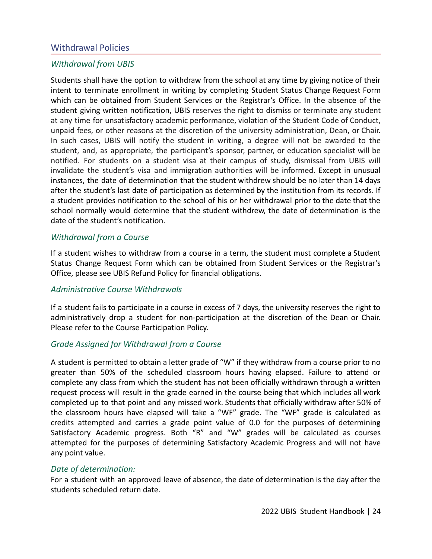#### <span id="page-24-0"></span>Withdrawal Policies

#### <span id="page-24-1"></span>*Withdrawal from UBIS*

Students shall have the option to withdraw from the school at any time by giving notice of their intent to terminate enrollment in writing by completing Student Status Change Request Form which can be obtained from Student Services or the Registrar's Office. In the absence of the student giving written notification, UBIS reserves the right to dismiss or terminate any student at any time for unsatisfactory academic performance, violation of the Student Code of Conduct, unpaid fees, or other reasons at the discretion of the university administration, Dean, or Chair. In such cases, UBIS will notify the student in writing, a degree will not be awarded to the student, and, as appropriate, the participant's sponsor, partner, or education specialist will be notified. For students on a student visa at their campus of study, dismissal from UBIS will invalidate the student's visa and immigration authorities will be informed. Except in unusual instances, the date of determination that the student withdrew should be no later than 14 days after the student's last date of participation as determined by the institution from its records. If a student provides notification to the school of his or her withdrawal prior to the date that the school normally would determine that the student withdrew, the date of determination is the date of the student's notification.

#### <span id="page-24-2"></span>*Withdrawal from a Course*

If a student wishes to withdraw from a course in a term, the student must complete a Student Status Change Request Form which can be obtained from Student Services or the Registrar's Office, please see UBIS Refund Policy for financial obligations.

#### <span id="page-24-3"></span>*Administrative Course Withdrawals*

If a student fails to participate in a course in excess of 7 days, the university reserves the right to administratively drop a student for non-participation at the discretion of the Dean or Chair. Please refer to the Course Participation Policy.

#### <span id="page-24-4"></span>*Grade Assigned for Withdrawal from a Course*

A student is permitted to obtain a letter grade of "W" if they withdraw from a course prior to no greater than 50% of the scheduled classroom hours having elapsed. Failure to attend or complete any class from which the student has not been officially withdrawn through a written request process will result in the grade earned in the course being that which includes all work completed up to that point and any missed work. Students that officially withdraw after 50% of the classroom hours have elapsed will take a "WF" grade. The "WF" grade is calculated as credits attempted and carries a grade point value of 0.0 for the purposes of determining Satisfactory Academic progress. Both "R" and "W" grades will be calculated as courses attempted for the purposes of determining Satisfactory Academic Progress and will not have any point value.

#### <span id="page-24-5"></span>*Date of determination:*

For a student with an approved leave of absence, the date of determination is the day after the students scheduled return date.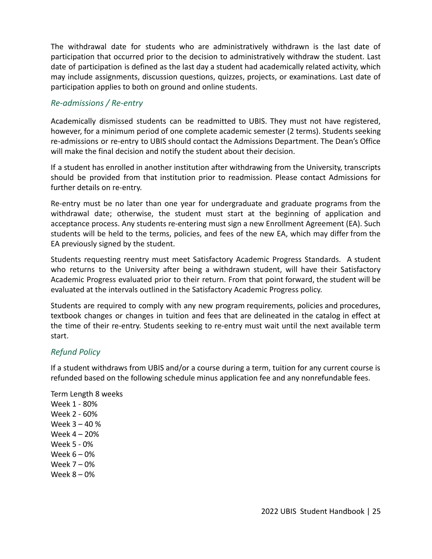The withdrawal date for students who are administratively withdrawn is the last date of participation that occurred prior to the decision to administratively withdraw the student. Last date of participation is defined as the last day a student had academically related activity, which may include assignments, discussion questions, quizzes, projects, or examinations. Last date of participation applies to both on ground and online students.

#### <span id="page-25-0"></span>*Re-admissions / Re-entry*

Academically dismissed students can be readmitted to UBIS. They must not have registered, however, for a minimum period of one complete academic semester (2 terms). Students seeking re-admissions or re-entry to UBIS should contact the Admissions Department. The Dean's Office will make the final decision and notify the student about their decision.

If a student has enrolled in another institution after withdrawing from the University, transcripts should be provided from that institution prior to readmission. Please contact Admissions for further details on re-entry.

Re-entry must be no later than one year for undergraduate and graduate programs from the withdrawal date; otherwise, the student must start at the beginning of application and acceptance process. Any students re-entering must sign a new Enrollment Agreement (EA). Such students will be held to the terms, policies, and fees of the new EA, which may differ from the EA previously signed by the student.

Students requesting reentry must meet Satisfactory Academic Progress Standards. A student who returns to the University after being a withdrawn student, will have their Satisfactory Academic Progress evaluated prior to their return. From that point forward, the student will be evaluated at the intervals outlined in the Satisfactory Academic Progress policy.

Students are required to comply with any new program requirements, policies and procedures, textbook changes or changes in tuition and fees that are delineated in the catalog in effect at the time of their re-entry. Students seeking to re-entry must wait until the next available term start.

#### <span id="page-25-1"></span>*Refund Policy*

If a student withdraws from UBIS and/or a course during a term, tuition for any current course is refunded based on the following schedule minus application fee and any nonrefundable fees.

Term Length 8 weeks

Week 1 - 80% Week 2 - 60% Week 3 – 40 % Week 4 – 20% Week 5 - 0% Week 6 – 0% Week 7 – 0% Week 8 – 0%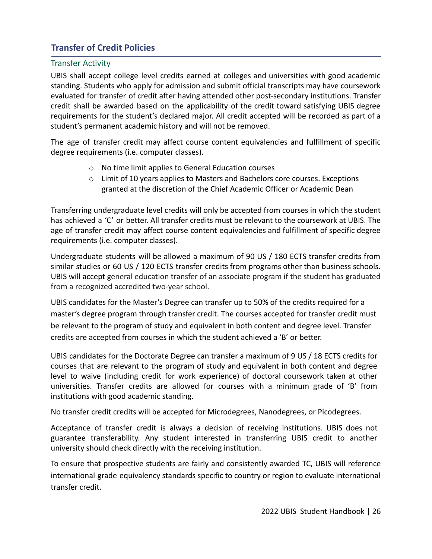## <span id="page-26-0"></span>**Transfer of Credit Policies**

#### <span id="page-26-1"></span>Transfer Activity

UBIS shall accept college level credits earned at colleges and universities with good academic standing. Students who apply for admission and submit official transcripts may have coursework evaluated for transfer of credit after having attended other post-secondary institutions. Transfer credit shall be awarded based on the applicability of the credit toward satisfying UBIS degree requirements for the student's declared major. All credit accepted will be recorded as part of a student's permanent academic history and will not be removed.

The age of transfer credit may affect course content equivalencies and fulfillment of specific degree requirements (i.e. computer classes).

- o No time limit applies to General Education courses
- o Limit of 10 years applies to Masters and Bachelors core courses. Exceptions granted at the discretion of the Chief Academic Officer or Academic Dean

Transferring undergraduate level credits will only be accepted from courses in which the student has achieved a 'C' or better. All transfer credits must be relevant to the coursework at UBIS. The age of transfer credit may affect course content equivalencies and fulfillment of specific degree requirements (i.e. computer classes).

Undergraduate students will be allowed a maximum of 90 US / 180 ECTS transfer credits from similar studies or 60 US / 120 ECTS transfer credits from programs other than business schools. UBIS will accept general education transfer of an associate program if the student has graduated from a recognized accredited two-year school.

UBIS candidates for the Master's Degree can transfer up to 50% of the credits required for a master's degree program through transfer credit. The courses accepted for transfer credit must be relevant to the program of study and equivalent in both content and degree level. Transfer credits are accepted from courses in which the student achieved a 'B' or better.

UBIS candidates for the Doctorate Degree can transfer a maximum of 9 US / 18 ECTS credits for courses that are relevant to the program of study and equivalent in both content and degree level to waive (including credit for work experience) of doctoral coursework taken at other universities. Transfer credits are allowed for courses with a minimum grade of 'B' from institutions with good academic standing.

No transfer credit credits will be accepted for Microdegrees, Nanodegrees, or Picodegrees.

Acceptance of transfer credit is always a decision of receiving institutions. UBIS does not guarantee transferability. Any student interested in transferring UBIS credit to another university should check directly with the receiving institution.

To ensure that prospective students are fairly and consistently awarded TC, UBIS will reference international grade equivalency standards specific to country or region to evaluate international transfer credit.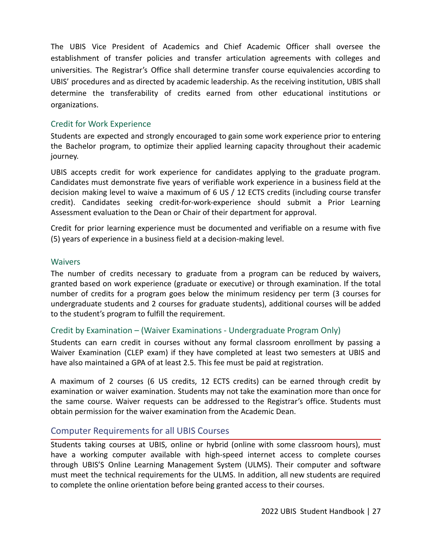The UBIS Vice President of Academics and Chief Academic Officer shall oversee the establishment of transfer policies and transfer articulation agreements with colleges and universities. The Registrar's Office shall determine transfer course equivalencies according to UBIS' procedures and as directed by academic leadership. As the receiving institution, UBIS shall determine the transferability of credits earned from other educational institutions or organizations.

#### <span id="page-27-0"></span>Credit for Work Experience

Students are expected and strongly encouraged to gain some work experience prior to entering the Bachelor program, to optimize their applied learning capacity throughout their academic journey.

UBIS accepts credit for work experience for candidates applying to the graduate program. Candidates must demonstrate five years of verifiable work experience in a business field at the decision making level to waive a maximum of 6 US / 12 ECTS credits (including course transfer credit). Candidates seeking credit-for-work-experience should submit a Prior Learning Assessment evaluation to the Dean or Chair of their department for approval.

Credit for prior learning experience must be documented and verifiable on a resume with five (5) years of experience in a business field at a decision-making level.

#### <span id="page-27-1"></span>**Waivers**

The number of credits necessary to graduate from a program can be reduced by waivers, granted based on work experience (graduate or executive) or through examination. If the total number of credits for a program goes below the minimum residency per term (3 courses for undergraduate students and 2 courses for graduate students), additional courses will be added to the student's program to fulfill the requirement.

#### <span id="page-27-2"></span>Credit by Examination – (Waiver Examinations - Undergraduate Program Only)

Students can earn credit in courses without any formal classroom enrollment by passing a Waiver Examination (CLEP exam) if they have completed at least two semesters at UBIS and have also maintained a GPA of at least 2.5. This fee must be paid at registration.

A maximum of 2 courses (6 US credits, 12 ECTS credits) can be earned through credit by examination or waiver examination. Students may not take the examination more than once for the same course. Waiver requests can be addressed to the Registrar's office. Students must obtain permission for the waiver examination from the Academic Dean.

#### <span id="page-27-3"></span>Computer Requirements for all UBIS Courses

Students taking courses at UBIS, online or hybrid (online with some classroom hours), must have a working computer available with high-speed internet access to complete courses through UBIS'S Online Learning Management System (ULMS). Their computer and software must meet the technical requirements for the ULMS. In addition, all new students are required to complete the online orientation before being granted access to their courses.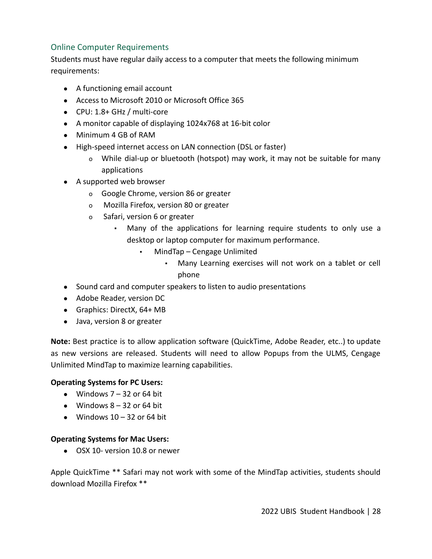## <span id="page-28-0"></span>Online Computer Requirements

Students must have regular daily access to a computer that meets the following minimum requirements:

- A functioning email account
- Access to Microsoft 2010 or Microsoft Office 365
- CPU: 1.8+ GHz / multi-core
- A monitor capable of displaying 1024x768 at 16-bit color
- Minimum 4 GB of RAM
- High-speed internet access on LAN connection (DSL or faster)
	- o While dial-up or bluetooth (hotspot) may work, it may not be suitable for many applications
- A supported web browser
	- o Google Chrome, version 86 or greater
	- o Mozilla Firefox, version 80 or greater
	- o Safari, version 6 or greater
		- Many of the applications for learning require students to only use a desktop or laptop computer for maximum performance.
			- MindTap Cengage Unlimited
				- Many Learning exercises will not work on a tablet or cell phone
- Sound card and computer speakers to listen to audio presentations
- Adobe Reader, version DC
- Graphics: DirectX, 64+ MB
- Java, version 8 or greater

**Note:** Best practice is to allow application software (QuickTime, Adobe Reader, etc..) to update as new versions are released. Students will need to allow Popups from the ULMS, Cengage Unlimited MindTap to maximize learning capabilities.

#### **Operating Systems for PC Users:**

- $\bullet$  Windows 7 32 or 64 bit
- $\bullet$  Windows 8 32 or 64 bit
- $\bullet$  Windows 10 32 or 64 bit

#### **Operating Systems for Mac Users:**

● OSX 10- version 10.8 or newer

Apple QuickTime \*\* Safari may not work with some of the MindTap activities, students should download Mozilla Firefox \*\*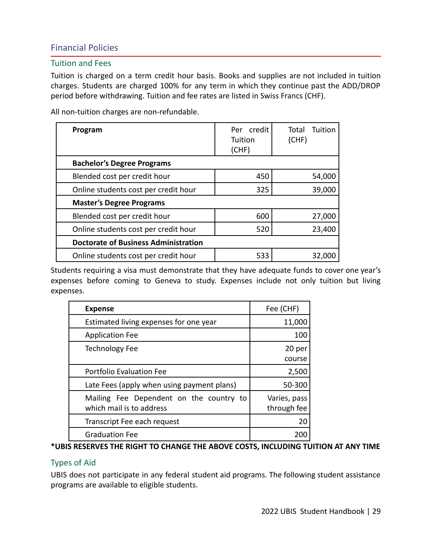## <span id="page-29-0"></span>Financial Policies

#### <span id="page-29-1"></span>Tuition and Fees

Tuition is charged on a term credit hour basis. Books and supplies are not included in tuition charges. Students are charged 100% for any term in which they continue past the ADD/DROP period before withdrawing. Tuition and fee rates are listed in Swiss Francs (CHF).

All non-tuition charges are non-refundable.

| Program                                     | credit<br>Per<br>Tuition<br>(CHF) | Tuition<br>Total<br>(CHF) |
|---------------------------------------------|-----------------------------------|---------------------------|
| <b>Bachelor's Degree Programs</b>           |                                   |                           |
| Blended cost per credit hour                | 450                               | 54,000                    |
| Online students cost per credit hour        | 325                               | 39,000                    |
| <b>Master's Degree Programs</b>             |                                   |                           |
| Blended cost per credit hour                | 600                               | 27,000                    |
| Online students cost per credit hour        | 520                               | 23,400                    |
| <b>Doctorate of Business Administration</b> |                                   |                           |
| Online students cost per credit hour        | 533                               | 32.00                     |

Students requiring a visa must demonstrate that they have adequate funds to cover one year's expenses before coming to Geneva to study. Expenses include not only tuition but living expenses.

| <b>Expense</b>                                                      | Fee (CHF)                   |
|---------------------------------------------------------------------|-----------------------------|
| Estimated living expenses for one year                              | 11,000                      |
| <b>Application Fee</b>                                              | 100                         |
| <b>Technology Fee</b>                                               | 20 per<br>course            |
| <b>Portfolio Evaluation Fee</b>                                     | 2,500                       |
| Late Fees (apply when using payment plans)                          | 50-300                      |
| Mailing Fee Dependent on the country to<br>which mail is to address | Varies, pass<br>through fee |
| Transcript Fee each request                                         | 20                          |
| <b>Graduation Fee</b>                                               |                             |

#### **\*UBIS RESERVES THE RIGHT TO CHANGE THE ABOVE COSTS, INCLUDING TUITION AT ANY TIME**

#### <span id="page-29-2"></span>Types of Aid

UBIS does not participate in any federal student aid programs. The following student assistance programs are available to eligible students.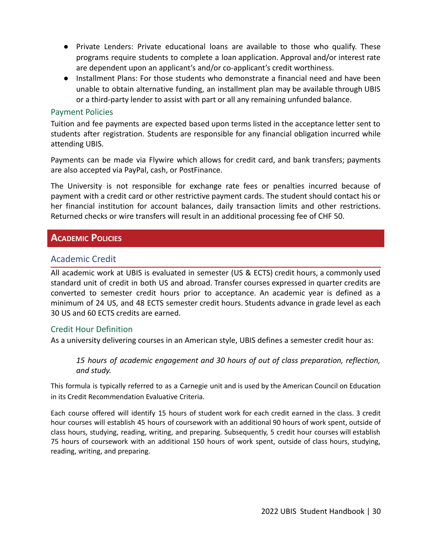- Private Lenders: Private educational loans are available to those who qualify. These programs require students to complete a loan application. Approval and/or interest rate are dependent upon an applicant's and/or co-applicant's credit worthiness.
- Installment Plans: For those students who demonstrate a financial need and have been unable to obtain alternative funding, an installment plan may be available through UBIS or a third-party lender to assist with part or all any remaining unfunded balance.

#### <span id="page-30-0"></span>Payment Policies

Tuition and fee payments are expected based upon terms listed in the acceptance letter sent to students after registration. Students are responsible for any financial obligation incurred while attending UBIS.

Payments can be made via Flywire which allows for credit card, and bank transfers; payments are also accepted via PayPal, cash, or PostFinance.

The University is not responsible for exchange rate fees or penalties incurred because of payment with a credit card or other restrictive payment cards. The student should contact his or her financial institution for account balances, daily transaction limits and other restrictions. Returned checks or wire transfers will result in an additional processing fee of CHF 50.

## <span id="page-30-1"></span>**ACADEMIC POLICIES**

#### <span id="page-30-2"></span>Academic Credit

All academic work at UBIS is evaluated in semester (US & ECTS) credit hours, a commonly used standard unit of credit in both US and abroad. Transfer courses expressed in quarter credits are converted to semester credit hours prior to acceptance. An academic year is defined as a minimum of 24 US, and 48 ECTS semester credit hours. Students advance in grade level as each 30 US and 60 ECTS credits are earned.

#### <span id="page-30-3"></span>Credit Hour Definition

As a university delivering courses in an American style, UBIS defines a semester credit hour as:

*15 hours of academic engagement and 30 hours of out of class preparation, reflection, and study.*

This formula is typically referred to as a Carnegie unit and is used by the American Council on Education in its Credit Recommendation Evaluative Criteria.

Each course offered will identify 15 hours of student work for each credit earned in the class. 3 credit hour courses will establish 45 hours of coursework with an additional 90 hours of work spent, outside of class hours, studying, reading, writing, and preparing. Subsequently, 5 credit hour courses will establish 75 hours of coursework with an additional 150 hours of work spent, outside of class hours, studying, reading, writing, and preparing.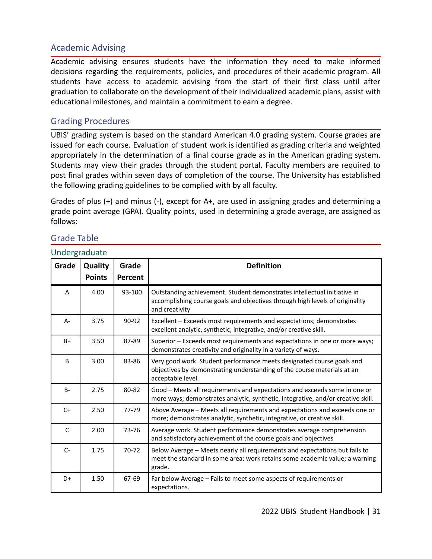## <span id="page-31-0"></span>Academic Advising

Academic advising ensures students have the information they need to make informed decisions regarding the requirements, policies, and procedures of their academic program. All students have access to academic advising from the start of their first class until after graduation to collaborate on the development of their individualized academic plans, assist with educational milestones, and maintain a commitment to earn a degree.

#### <span id="page-31-1"></span>Grading Procedures

UBIS' grading system is based on the standard American 4.0 grading system. Course grades are issued for each course. Evaluation of student work is identified as grading criteria and weighted appropriately in the determination of a final course grade as in the American grading system. Students may view their grades through the student portal. Faculty members are required to post final grades within seven days of completion of the course. The University has established the following grading guidelines to be complied with by all faculty.

Grades of plus (+) and minus (-), except for A+, are used in assigning grades and determining a grade point average (GPA). Quality points, used in determining a grade average, are assigned as follows:

## <span id="page-31-2"></span>Grade Table

#### <span id="page-31-3"></span>Undergraduate

| Grade        | <b>Quality</b> | Grade   | <b>Definition</b>                                                                                                                                                          |
|--------------|----------------|---------|----------------------------------------------------------------------------------------------------------------------------------------------------------------------------|
|              | <b>Points</b>  | Percent |                                                                                                                                                                            |
| A            | 4.00           | 93-100  | Outstanding achievement. Student demonstrates intellectual initiative in<br>accomplishing course goals and objectives through high levels of originality<br>and creativity |
| A-           | 3.75           | 90-92   | Excellent - Exceeds most requirements and expectations; demonstrates<br>excellent analytic, synthetic, integrative, and/or creative skill.                                 |
| $B+$         | 3.50           | 87-89   | Superior - Exceeds most requirements and expectations in one or more ways;<br>demonstrates creativity and originality in a variety of ways.                                |
| B            | 3.00           | 83-86   | Very good work. Student performance meets designated course goals and<br>objectives by demonstrating understanding of the course materials at an<br>acceptable level.      |
| <b>B-</b>    | 2.75           | 80-82   | Good - Meets all requirements and expectations and exceeds some in one or<br>more ways; demonstrates analytic, synthetic, integrative, and/or creative skill.              |
| $C+$         | 2.50           | 77-79   | Above Average - Meets all requirements and expectations and exceeds one or<br>more; demonstrates analytic, synthetic, integrative, or creative skill.                      |
| $\mathsf{C}$ | 2.00           | 73-76   | Average work. Student performance demonstrates average comprehension<br>and satisfactory achievement of the course goals and objectives                                    |
| $C-$         | 1.75           | 70-72   | Below Average - Meets nearly all requirements and expectations but fails to<br>meet the standard in some area; work retains some academic value; a warning<br>grade.       |
| D+           | 1.50           | 67-69   | Far below Average - Fails to meet some aspects of requirements or<br>expectations.                                                                                         |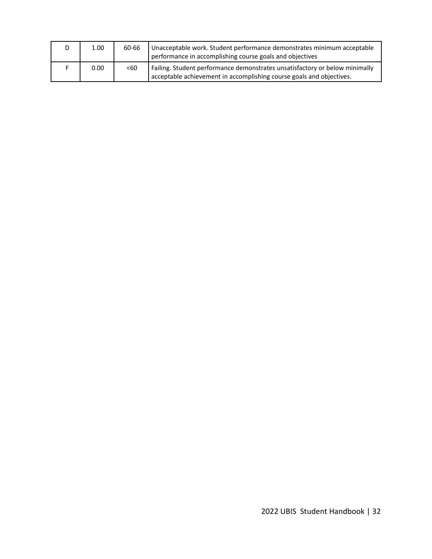| D | 1.00 | 60-66 | Unacceptable work. Student performance demonstrates minimum acceptable<br>performance in accomplishing course goals and objectives                  |
|---|------|-------|-----------------------------------------------------------------------------------------------------------------------------------------------------|
|   | 0.00 | < 60  | Failing. Student performance demonstrates unsatisfactory or below minimally<br>acceptable achievement in accomplishing course goals and objectives. |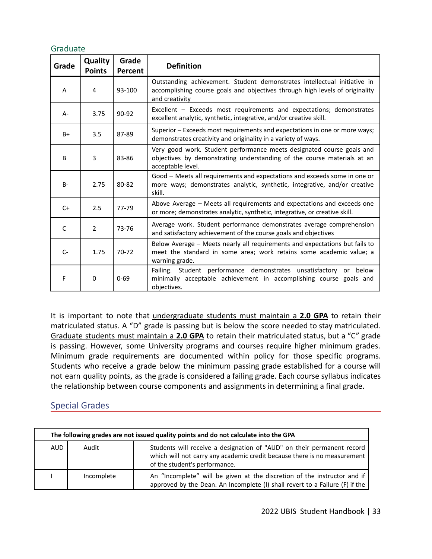#### <span id="page-33-0"></span>Graduate

| Grade | Quality<br><b>Points</b> | Grade<br>Percent | <b>Definition</b>                                                                                                                                                          |  |
|-------|--------------------------|------------------|----------------------------------------------------------------------------------------------------------------------------------------------------------------------------|--|
| A     | 4                        | 93-100           | Outstanding achievement. Student demonstrates intellectual initiative in<br>accomplishing course goals and objectives through high levels of originality<br>and creativity |  |
| $A -$ | 3.75                     | 90-92            | Excellent - Exceeds most requirements and expectations; demonstrates<br>excellent analytic, synthetic, integrative, and/or creative skill.                                 |  |
| $B+$  | 3.5                      | 87-89            | Superior - Exceeds most requirements and expectations in one or more ways;<br>demonstrates creativity and originality in a variety of ways.                                |  |
| B     | 3                        | 83-86            | Very good work. Student performance meets designated course goals and<br>objectives by demonstrating understanding of the course materials at an<br>acceptable level.      |  |
| $B -$ | 2.75                     | 80-82            | Good - Meets all requirements and expectations and exceeds some in one or<br>more ways; demonstrates analytic, synthetic, integrative, and/or creative<br>skill.           |  |
| $C+$  | 2.5                      | 77-79            | Above Average - Meets all requirements and expectations and exceeds one<br>or more; demonstrates analytic, synthetic, integrative, or creative skill.                      |  |
| C     | $\overline{2}$           | 73-76            | Average work. Student performance demonstrates average comprehension<br>and satisfactory achievement of the course goals and objectives                                    |  |
| $C-$  | 1.75                     | $70-72$          | Below Average - Meets nearly all requirements and expectations but fails to<br>meet the standard in some area; work retains some academic value; a<br>warning grade.       |  |
| F     | 0                        | $0 - 69$         | Failing. Student performance demonstrates unsatisfactory<br>or below<br>minimally acceptable achievement in accomplishing course goals and<br>objectives.                  |  |

It is important to note that undergraduate students must maintain a **2.0 GPA** to retain their matriculated status. A "D" grade is passing but is below the score needed to stay matriculated. Graduate students must maintain a **2.0 GPA** to retain their matriculated status, but a "C" grade is passing. However, some University programs and courses require higher minimum grades. Minimum grade requirements are documented within policy for those specific programs. Students who receive a grade below the minimum passing grade established for a course will not earn quality points, as the grade is considered a failing grade. Each course syllabus indicates the relationship between course components and assignments in determining a final grade.

#### <span id="page-33-1"></span>Special Grades

| The following grades are not issued quality points and do not calculate into the GPA |            |                                                                                                                                                                                     |  |  |
|--------------------------------------------------------------------------------------|------------|-------------------------------------------------------------------------------------------------------------------------------------------------------------------------------------|--|--|
| AUD                                                                                  | Audit      | Students will receive a designation of "AUD" on their permanent record<br>which will not carry any academic credit because there is no measurement<br>of the student's performance. |  |  |
|                                                                                      | Incomplete | An "Incomplete" will be given at the discretion of the instructor and if<br>approved by the Dean. An Incomplete (I) shall revert to a Failure (F) if the                            |  |  |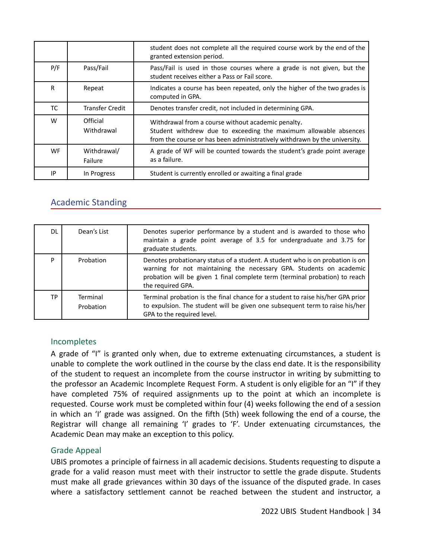|           |                        | student does not complete all the required course work by the end of the<br>granted extension period.                                                                                               |
|-----------|------------------------|-----------------------------------------------------------------------------------------------------------------------------------------------------------------------------------------------------|
| P/F       | Pass/Fail              | Pass/Fail is used in those courses where a grade is not given, but the<br>student receives either a Pass or Fail score.                                                                             |
| R         | Repeat                 | Indicates a course has been repeated, only the higher of the two grades is<br>computed in GPA.                                                                                                      |
| ТC        | <b>Transfer Credit</b> | Denotes transfer credit, not included in determining GPA.                                                                                                                                           |
| W         | Official<br>Withdrawal | Withdrawal from a course without academic penalty.<br>Student withdrew due to exceeding the maximum allowable absences<br>from the course or has been administratively withdrawn by the university. |
| <b>WF</b> | Withdrawal/<br>Failure | A grade of WF will be counted towards the student's grade point average<br>as a failure.                                                                                                            |
| IP        | In Progress            | Student is currently enrolled or awaiting a final grade                                                                                                                                             |

## <span id="page-34-0"></span>Academic Standing

| DL        | Dean's List           | Denotes superior performance by a student and is awarded to those who<br>maintain a grade point average of 3.5 for undergraduate and 3.75 for<br>graduate students.                                                                                      |
|-----------|-----------------------|----------------------------------------------------------------------------------------------------------------------------------------------------------------------------------------------------------------------------------------------------------|
| D         | Probation             | Denotes probationary status of a student. A student who is on probation is on<br>warning for not maintaining the necessary GPA. Students on academic<br>probation will be given 1 final complete term (terminal probation) to reach<br>the required GPA. |
| <b>TP</b> | Terminal<br>Probation | Terminal probation is the final chance for a student to raise his/her GPA prior<br>to expulsion. The student will be given one subsequent term to raise his/her<br>GPA to the required level.                                                            |

#### <span id="page-34-1"></span>Incompletes

A grade of "I" is granted only when, due to extreme extenuating circumstances, a student is unable to complete the work outlined in the course by the class end date. It is the responsibility of the student to request an incomplete from the course instructor in writing by submitting to the professor an Academic Incomplete Request Form. A student is only eligible for an "I" if they have completed 75% of required assignments up to the point at which an incomplete is requested. Course work must be completed within four (4) weeks following the end of a session in which an 'I' grade was assigned. On the fifth (5th) week following the end of a course, the Registrar will change all remaining 'I' grades to 'F'. Under extenuating circumstances, the Academic Dean may make an exception to this policy.

#### <span id="page-34-2"></span>Grade Appeal

UBIS promotes a principle of fairness in all academic decisions. Students requesting to dispute a grade for a valid reason must meet with their instructor to settle the grade dispute. Students must make all grade grievances within 30 days of the issuance of the disputed grade. In cases where a satisfactory settlement cannot be reached between the student and instructor, a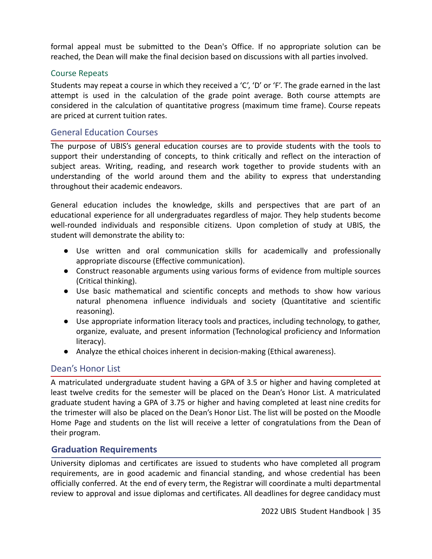formal appeal must be submitted to the Dean's Office. If no appropriate solution can be reached, the Dean will make the final decision based on discussions with all parties involved.

#### <span id="page-35-0"></span>Course Repeats

Students may repeat a course in which they received a 'C', 'D' or 'F'. The grade earned in the last attempt is used in the calculation of the grade point average. Both course attempts are considered in the calculation of quantitative progress (maximum time frame). Course repeats are priced at current tuition rates.

#### <span id="page-35-1"></span>General Education Courses

The purpose of UBIS's general education courses are to provide students with the tools to support their understanding of concepts, to think critically and reflect on the interaction of subject areas. Writing, reading, and research work together to provide students with an understanding of the world around them and the ability to express that understanding throughout their academic endeavors.

General education includes the knowledge, skills and perspectives that are part of an educational experience for all undergraduates regardless of major. They help students become well-rounded individuals and responsible citizens. Upon completion of study at UBIS, the student will demonstrate the ability to:

- Use written and oral communication skills for academically and professionally appropriate discourse (Effective communication).
- Construct reasonable arguments using various forms of evidence from multiple sources (Critical thinking).
- Use basic mathematical and scientific concepts and methods to show how various natural phenomena influence individuals and society (Quantitative and scientific reasoning).
- Use appropriate information literacy tools and practices, including technology, to gather, organize, evaluate, and present information (Technological proficiency and Information literacy).
- Analyze the ethical choices inherent in decision-making (Ethical awareness).

#### <span id="page-35-2"></span>Dean's Honor List

A matriculated undergraduate student having a GPA of 3.5 or higher and having completed at least twelve credits for the semester will be placed on the Dean's Honor List. A matriculated graduate student having a GPA of 3.75 or higher and having completed at least nine credits for the trimester will also be placed on the Dean's Honor List. The list will be posted on the Moodle Home Page and students on the list will receive a letter of congratulations from the Dean of their program.

#### <span id="page-35-3"></span>**Graduation Requirements**

University diplomas and certificates are issued to students who have completed all program requirements, are in good academic and financial standing, and whose credential has been officially conferred. At the end of every term, the Registrar will coordinate a multi departmental review to approval and issue diplomas and certificates. All deadlines for degree candidacy must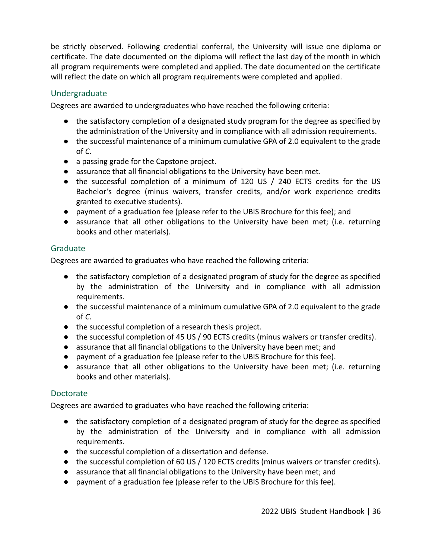be strictly observed. Following credential conferral, the University will issue one diploma or certificate. The date documented on the diploma will reflect the last day of the month in which all program requirements were completed and applied. The date documented on the certificate will reflect the date on which all program requirements were completed and applied.

#### <span id="page-36-0"></span>Undergraduate

Degrees are awarded to undergraduates who have reached the following criteria:

- the satisfactory completion of a designated study program for the degree as specified by the administration of the University and in compliance with all admission requirements.
- the successful maintenance of a minimum cumulative GPA of 2.0 equivalent to the grade of *C*.
- a passing grade for the Capstone project.
- assurance that all financial obligations to the University have been met.
- the successful completion of a minimum of 120 US / 240 ECTS credits for the US Bachelor's degree (minus waivers, transfer credits, and/or work experience credits granted to executive students).
- payment of a graduation fee (please refer to the UBIS Brochure for this fee); and
- assurance that all other obligations to the University have been met; (i.e. returning books and other materials).

#### <span id="page-36-1"></span>Graduate

Degrees are awarded to graduates who have reached the following criteria:

- the satisfactory completion of a designated program of study for the degree as specified by the administration of the University and in compliance with all admission requirements.
- the successful maintenance of a minimum cumulative GPA of 2.0 equivalent to the grade of *C*.
- the successful completion of a research thesis project.
- the successful completion of 45 US / 90 ECTS credits (minus waivers or transfer credits).
- assurance that all financial obligations to the University have been met; and
- payment of a graduation fee (please refer to the UBIS Brochure for this fee).
- assurance that all other obligations to the University have been met; (i.e. returning books and other materials).

#### <span id="page-36-2"></span>Doctorate

Degrees are awarded to graduates who have reached the following criteria:

- the satisfactory completion of a designated program of study for the degree as specified by the administration of the University and in compliance with all admission requirements.
- the successful completion of a dissertation and defense.
- the successful completion of 60 US / 120 ECTS credits (minus waivers or transfer credits).
- assurance that all financial obligations to the University have been met; and
- payment of a graduation fee (please refer to the UBIS Brochure for this fee).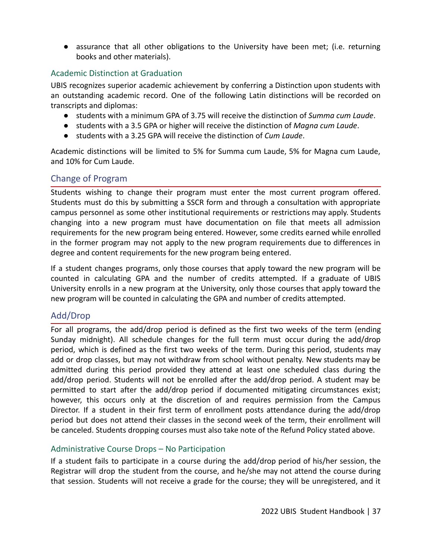● assurance that all other obligations to the University have been met; (i.e. returning books and other materials).

#### <span id="page-37-0"></span>Academic Distinction at Graduation

UBIS recognizes superior academic achievement by conferring a Distinction upon students with an outstanding academic record. One of the following Latin distinctions will be recorded on transcripts and diplomas:

- students with a minimum GPA of 3.75 will receive the distinction of *Summa cum Laude*.
- students with a 3.5 GPA or higher will receive the distinction of *Magna cum Laude*.
- students with a 3.25 GPA will receive the distinction of *Cum Laude*.

Academic distinctions will be limited to 5% for Summa cum Laude, 5% for Magna cum Laude, and 10% for Cum Laude.

## <span id="page-37-1"></span>Change of Program

Students wishing to change their program must enter the most current program offered. Students must do this by submitting a SSCR form and through a consultation with appropriate campus personnel as some other institutional requirements or restrictions may apply. Students changing into a new program must have documentation on file that meets all admission requirements for the new program being entered. However, some credits earned while enrolled in the former program may not apply to the new program requirements due to differences in degree and content requirements for the new program being entered.

If a student changes programs, only those courses that apply toward the new program will be counted in calculating GPA and the number of credits attempted. If a graduate of UBIS University enrolls in a new program at the University, only those courses that apply toward the new program will be counted in calculating the GPA and number of credits attempted.

## <span id="page-37-2"></span>Add/Drop

For all programs, the add/drop period is defined as the first two weeks of the term (ending Sunday midnight). All schedule changes for the full term must occur during the add/drop period, which is defined as the first two weeks of the term. During this period, students may add or drop classes, but may not withdraw from school without penalty. New students may be admitted during this period provided they attend at least one scheduled class during the add/drop period. Students will not be enrolled after the add/drop period. A student may be permitted to start after the add/drop period if documented mitigating circumstances exist; however, this occurs only at the discretion of and requires permission from the Campus Director. If a student in their first term of enrollment posts attendance during the add/drop period but does not attend their classes in the second week of the term, their enrollment will be canceled. Students dropping courses must also take note of the Refund Policy stated above.

#### <span id="page-37-3"></span>Administrative Course Drops – No Participation

If a student fails to participate in a course during the add/drop period of his/her session, the Registrar will drop the student from the course, and he/she may not attend the course during that session. Students will not receive a grade for the course; they will be unregistered, and it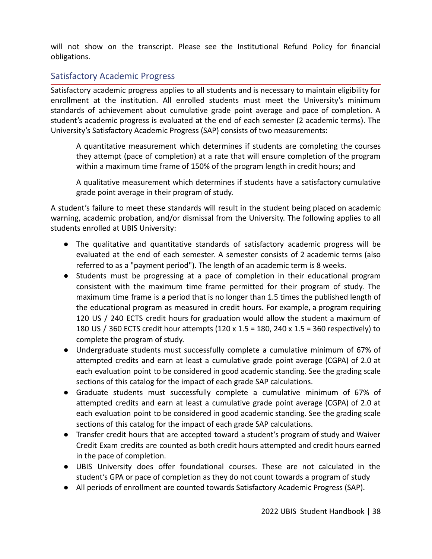will not show on the transcript. Please see the Institutional Refund Policy for financial obligations.

## <span id="page-38-0"></span>Satisfactory Academic Progress

Satisfactory academic progress applies to all students and is necessary to maintain eligibility for enrollment at the institution. All enrolled students must meet the University's minimum standards of achievement about cumulative grade point average and pace of completion. A student's academic progress is evaluated at the end of each semester (2 academic terms). The University's Satisfactory Academic Progress (SAP) consists of two measurements:

A quantitative measurement which determines if students are completing the courses they attempt (pace of completion) at a rate that will ensure completion of the program within a maximum time frame of 150% of the program length in credit hours; and

A qualitative measurement which determines if students have a satisfactory cumulative grade point average in their program of study.

A student's failure to meet these standards will result in the student being placed on academic warning, academic probation, and/or dismissal from the University. The following applies to all students enrolled at UBIS University:

- The qualitative and quantitative standards of satisfactory academic progress will be evaluated at the end of each semester. A semester consists of 2 academic terms (also referred to as a "payment period"). The length of an academic term is 8 weeks.
- Students must be progressing at a pace of completion in their educational program consistent with the maximum time frame permitted for their program of study. The maximum time frame is a period that is no longer than 1.5 times the published length of the educational program as measured in credit hours. For example, a program requiring 120 US / 240 ECTS credit hours for graduation would allow the student a maximum of 180 US / 360 ECTS credit hour attempts (120 x 1.5 = 180, 240 x 1.5 = 360 respectively) to complete the program of study.
- Undergraduate students must successfully complete a cumulative minimum of 67% of attempted credits and earn at least a cumulative grade point average (CGPA) of 2.0 at each evaluation point to be considered in good academic standing. See the grading scale sections of this catalog for the impact of each grade SAP calculations.
- Graduate students must successfully complete a cumulative minimum of 67% of attempted credits and earn at least a cumulative grade point average (CGPA) of 2.0 at each evaluation point to be considered in good academic standing. See the grading scale sections of this catalog for the impact of each grade SAP calculations.
- Transfer credit hours that are accepted toward a student's program of study and Waiver Credit Exam credits are counted as both credit hours attempted and credit hours earned in the pace of completion.
- UBIS University does offer foundational courses. These are not calculated in the student's GPA or pace of completion as they do not count towards a program of study
- All periods of enrollment are counted towards Satisfactory Academic Progress (SAP).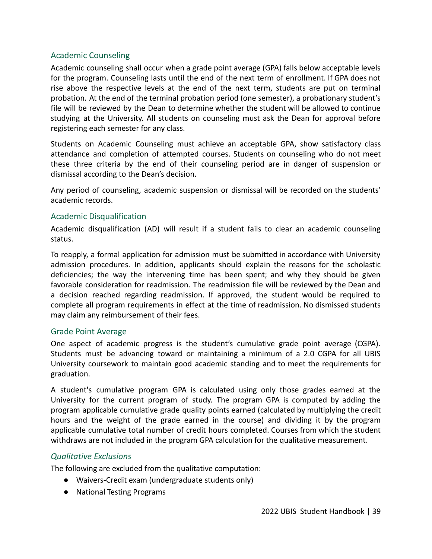#### <span id="page-39-0"></span>Academic Counseling

Academic counseling shall occur when a grade point average (GPA) falls below acceptable levels for the program. Counseling lasts until the end of the next term of enrollment. If GPA does not rise above the respective levels at the end of the next term, students are put on terminal probation. At the end of the terminal probation period (one semester), a probationary student's file will be reviewed by the Dean to determine whether the student will be allowed to continue studying at the University. All students on counseling must ask the Dean for approval before registering each semester for any class.

Students on Academic Counseling must achieve an acceptable GPA, show satisfactory class attendance and completion of attempted courses. Students on counseling who do not meet these three criteria by the end of their counseling period are in danger of suspension or dismissal according to the Dean's decision.

Any period of counseling, academic suspension or dismissal will be recorded on the students' academic records.

#### <span id="page-39-1"></span>Academic Disqualification

Academic disqualification (AD) will result if a student fails to clear an academic counseling status.

To reapply, a formal application for admission must be submitted in accordance with University admission procedures. In addition, applicants should explain the reasons for the scholastic deficiencies; the way the intervening time has been spent; and why they should be given favorable consideration for readmission. The readmission file will be reviewed by the Dean and a decision reached regarding readmission. If approved, the student would be required to complete all program requirements in effect at the time of readmission. No dismissed students may claim any reimbursement of their fees.

#### <span id="page-39-2"></span>Grade Point Average

One aspect of academic progress is the student's cumulative grade point average (CGPA). Students must be advancing toward or maintaining a minimum of a 2.0 CGPA for all UBIS University coursework to maintain good academic standing and to meet the requirements for graduation.

A student's cumulative program GPA is calculated using only those grades earned at the University for the current program of study. The program GPA is computed by adding the program applicable cumulative grade quality points earned (calculated by multiplying the credit hours and the weight of the grade earned in the course) and dividing it by the program applicable cumulative total number of credit hours completed. Courses from which the student withdraws are not included in the program GPA calculation for the qualitative measurement.

#### <span id="page-39-3"></span>*Qualitative Exclusions*

The following are excluded from the qualitative computation:

- Waivers-Credit exam (undergraduate students only)
- National Testing Programs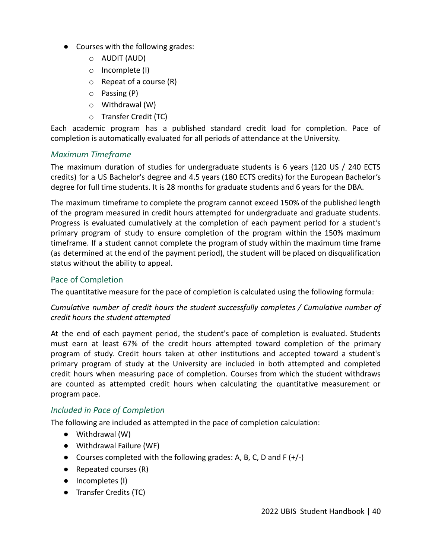- Courses with the following grades:
	- o AUDIT (AUD)
	- o Incomplete (I)
	- $\circ$  Repeat of a course (R)
	- o Passing (P)
	- o Withdrawal (W)
	- o Transfer Credit (TC)

Each academic program has a published standard credit load for completion. Pace of completion is automatically evaluated for all periods of attendance at the University.

#### <span id="page-40-0"></span>*Maximum Timeframe*

The maximum duration of studies for undergraduate students is 6 years (120 US / 240 ECTS credits) for a US Bachelor's degree and 4.5 years (180 ECTS credits) for the European Bachelor's degree for full time students. It is 28 months for graduate students and 6 years for the DBA.

The maximum timeframe to complete the program cannot exceed 150% of the published length of the program measured in credit hours attempted for undergraduate and graduate students. Progress is evaluated cumulatively at the completion of each payment period for a student's primary program of study to ensure completion of the program within the 150% maximum timeframe. If a student cannot complete the program of study within the maximum time frame (as determined at the end of the payment period), the student will be placed on disqualification status without the ability to appeal.

#### <span id="page-40-1"></span>Pace of Completion

The quantitative measure for the pace of completion is calculated using the following formula:

#### *Cumulative number of credit hours the student successfully completes / Cumulative number of credit hours the student attempted*

At the end of each payment period, the student's pace of completion is evaluated. Students must earn at least 67% of the credit hours attempted toward completion of the primary program of study. Credit hours taken at other institutions and accepted toward a student's primary program of study at the University are included in both attempted and completed credit hours when measuring pace of completion. Courses from which the student withdraws are counted as attempted credit hours when calculating the quantitative measurement or program pace.

#### *Included in Pace of Completion*

The following are included as attempted in the pace of completion calculation:

- Withdrawal (W)
- Withdrawal Failure (WF)
- Courses completed with the following grades: A, B, C, D and F  $(+/-)$
- Repeated courses (R)
- Incompletes (I)
- Transfer Credits (TC)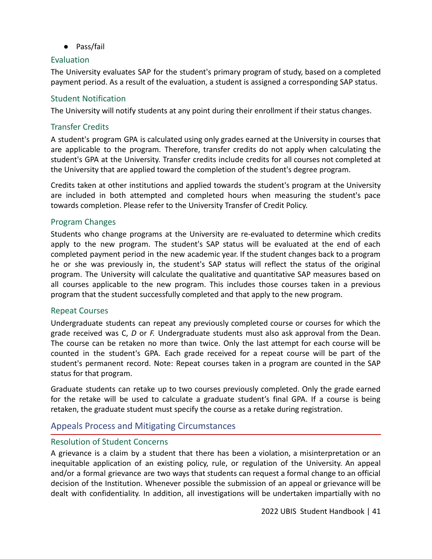● Pass/fail

#### <span id="page-41-0"></span>Evaluation

The University evaluates SAP for the student's primary program of study, based on a completed payment period. As a result of the evaluation, a student is assigned a corresponding SAP status.

#### <span id="page-41-1"></span>Student Notification

The University will notify students at any point during their enrollment if their status changes.

#### <span id="page-41-2"></span>Transfer Credits

A student's program GPA is calculated using only grades earned at the University in courses that are applicable to the program. Therefore, transfer credits do not apply when calculating the student's GPA at the University. Transfer credits include credits for all courses not completed at the University that are applied toward the completion of the student's degree program.

Credits taken at other institutions and applied towards the student's program at the University are included in both attempted and completed hours when measuring the student's pace towards completion. Please refer to the University Transfer of Credit Policy.

#### <span id="page-41-3"></span>Program Changes

Students who change programs at the University are re-evaluated to determine which credits apply to the new program. The student's SAP status will be evaluated at the end of each completed payment period in the new academic year. If the student changes back to a program he or she was previously in, the student's SAP status will reflect the status of the original program. The University will calculate the qualitative and quantitative SAP measures based on all courses applicable to the new program. This includes those courses taken in a previous program that the student successfully completed and that apply to the new program.

#### <span id="page-41-4"></span>Repeat Courses

Undergraduate students can repeat any previously completed course or courses for which the grade received was C, *D* or *F.* Undergraduate students must also ask approval from the Dean. The course can be retaken no more than twice. Only the last attempt for each course will be counted in the student's GPA. Each grade received for a repeat course will be part of the student's permanent record. Note: Repeat courses taken in a program are counted in the SAP status for that program.

Graduate students can retake up to two courses previously completed. Only the grade earned for the retake will be used to calculate a graduate student's final GPA. If a course is being retaken, the graduate student must specify the course as a retake during registration.

#### <span id="page-41-5"></span>Appeals Process and Mitigating Circumstances

#### <span id="page-41-6"></span>Resolution of Student Concerns

A grievance is a claim by a student that there has been a violation, a misinterpretation or an inequitable application of an existing policy, rule, or regulation of the University. An appeal and/or a formal grievance are two ways that students can request a formal change to an official decision of the Institution. Whenever possible the submission of an appeal or grievance will be dealt with confidentiality. In addition, all investigations will be undertaken impartially with no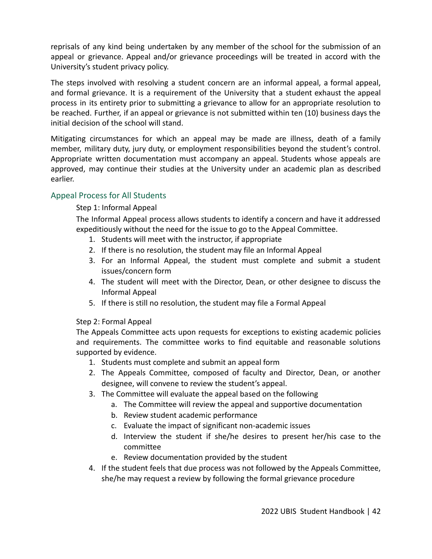reprisals of any kind being undertaken by any member of the school for the submission of an appeal or grievance. Appeal and/or grievance proceedings will be treated in accord with the University's student privacy policy.

The steps involved with resolving a student concern are an informal appeal, a formal appeal, and formal grievance. It is a requirement of the University that a student exhaust the appeal process in its entirety prior to submitting a grievance to allow for an appropriate resolution to be reached. Further, if an appeal or grievance is not submitted within ten (10) business days the initial decision of the school will stand.

Mitigating circumstances for which an appeal may be made are illness, death of a family member, military duty, jury duty, or employment responsibilities beyond the student's control. Appropriate written documentation must accompany an appeal. Students whose appeals are approved, may continue their studies at the University under an academic plan as described earlier.

#### <span id="page-42-0"></span>Appeal Process for All Students

#### Step 1: Informal Appeal

The Informal Appeal process allows students to identify a concern and have it addressed expeditiously without the need for the issue to go to the Appeal Committee.

- 1. Students will meet with the instructor, if appropriate
- 2. If there is no resolution, the student may file an Informal Appeal
- 3. For an Informal Appeal, the student must complete and submit a student issues/concern form
- 4. The student will meet with the Director, Dean, or other designee to discuss the Informal Appeal
- 5. If there is still no resolution, the student may file a Formal Appeal

#### Step 2: Formal Appeal

The Appeals Committee acts upon requests for exceptions to existing academic policies and requirements. The committee works to find equitable and reasonable solutions supported by evidence.

- 1. Students must complete and submit an appeal form
- 2. The Appeals Committee, composed of faculty and Director, Dean, or another designee, will convene to review the student's appeal.
- 3. The Committee will evaluate the appeal based on the following
	- a. The Committee will review the appeal and supportive documentation
	- b. Review student academic performance
	- c. Evaluate the impact of significant non-academic issues
	- d. Interview the student if she/he desires to present her/his case to the committee
	- e. Review documentation provided by the student
- 4. If the student feels that due process was not followed by the Appeals Committee, she/he may request a review by following the formal grievance procedure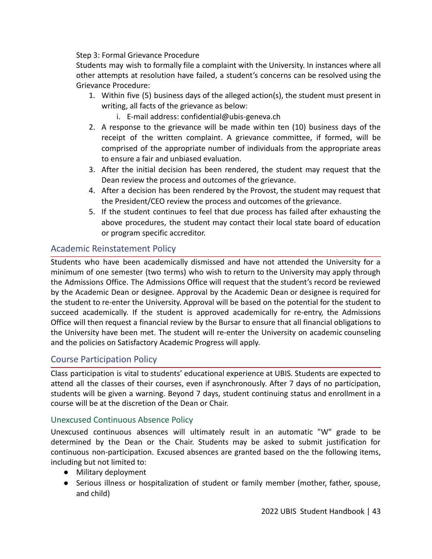Step 3: Formal Grievance Procedure

Students may wish to formally file a complaint with the University. In instances where all other attempts at resolution have failed, a student's concerns can be resolved using the Grievance Procedure:

- 1. Within five (5) business days of the alleged action(s), the student must present in writing, all facts of the grievance as below:
	- i. E-mail address: confidential@ubis-geneva.ch
- 2. A response to the grievance will be made within ten (10) business days of the receipt of the written complaint. A grievance committee, if formed, will be comprised of the appropriate number of individuals from the appropriate areas to ensure a fair and unbiased evaluation.
- 3. After the initial decision has been rendered, the student may request that the Dean review the process and outcomes of the grievance.
- 4. After a decision has been rendered by the Provost, the student may request that the President/CEO review the process and outcomes of the grievance.
- 5. If the student continues to feel that due process has failed after exhausting the above procedures, the student may contact their local state board of education or program specific accreditor.

## <span id="page-43-0"></span>Academic Reinstatement Policy

Students who have been academically dismissed and have not attended the University for a minimum of one semester (two terms) who wish to return to the University may apply through the Admissions Office. The Admissions Office will request that the student's record be reviewed by the Academic Dean or designee. Approval by the Academic Dean or designee is required for the student to re-enter the University. Approval will be based on the potential for the student to succeed academically. If the student is approved academically for re-entry, the Admissions Office will then request a financial review by the Bursar to ensure that all financial obligations to the University have been met. The student will re-enter the University on academic counseling and the policies on Satisfactory Academic Progress will apply.

#### <span id="page-43-1"></span>Course Participation Policy

Class participation is vital to students' educational experience at UBIS. Students are expected to attend all the classes of their courses, even if asynchronously. After 7 days of no participation, students will be given a warning. Beyond 7 days, student continuing status and enrollment in a course will be at the discretion of the Dean or Chair.

#### <span id="page-43-2"></span>Unexcused Continuous Absence Policy

Unexcused continuous absences will ultimately result in an automatic "W" grade to be determined by the Dean or the Chair. Students may be asked to submit justification for continuous non-participation. Excused absences are granted based on the the following items, including but not limited to:

- Military deployment
- Serious illness or hospitalization of student or family member (mother, father, spouse, and child)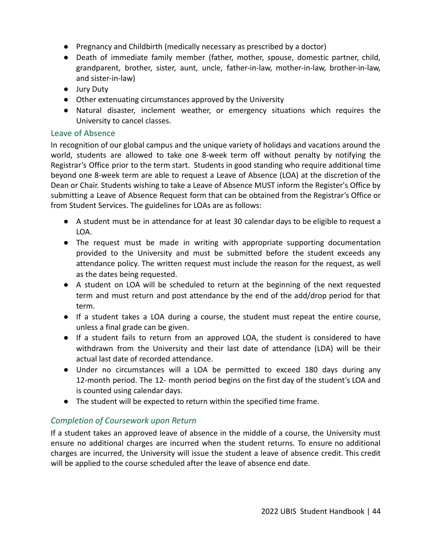- Pregnancy and Childbirth (medically necessary as prescribed by a doctor)
- Death of immediate family member (father, mother, spouse, domestic partner, child, grandparent, brother, sister, aunt, uncle, father-in-law, mother-in-law, brother-in-law, and sister-in-law)
- Jury Duty
- Other extenuating circumstances approved by the University
- Natural disaster, inclement weather, or emergency situations which requires the University to cancel classes.

#### <span id="page-44-0"></span>Leave of Absence

In recognition of our global campus and the unique variety of holidays and vacations around the world, students are allowed to take one 8-week term off without penalty by notifying the Registrar's Office prior to the term start. Students in good standing who require additional time beyond one 8-week term are able to request a Leave of Absence (LOA) at the discretion of the Dean or Chair. Students wishing to take a Leave of Absence MUST inform the Register's Office by submitting a Leave of Absence Request form that can be obtained from the Registrar's Office or from Student Services. The guidelines for LOAs are as follows:

- A student must be in attendance for at least 30 calendar days to be eligible to request a LOA.
- The request must be made in writing with appropriate supporting documentation provided to the University and must be submitted before the student exceeds any attendance policy. The written request must include the reason for the request, as well as the dates being requested.
- A student on LOA will be scheduled to return at the beginning of the next requested term and must return and post attendance by the end of the add/drop period for that term.
- If a student takes a LOA during a course, the student must repeat the entire course, unless a final grade can be given.
- If a student fails to return from an approved LOA, the student is considered to have withdrawn from the University and their last date of attendance (LDA) will be their actual last date of recorded attendance.
- Under no circumstances will a LOA be permitted to exceed 180 days during any 12-month period. The 12- month period begins on the first day of the student's LOA and is counted using calendar days.
- The student will be expected to return within the specified time frame.

## *Completion of Coursework upon Return*

If a student takes an approved leave of absence in the middle of a course, the University must ensure no additional charges are incurred when the student returns. To ensure no additional charges are incurred, the University will issue the student a leave of absence credit. This credit will be applied to the course scheduled after the leave of absence end date.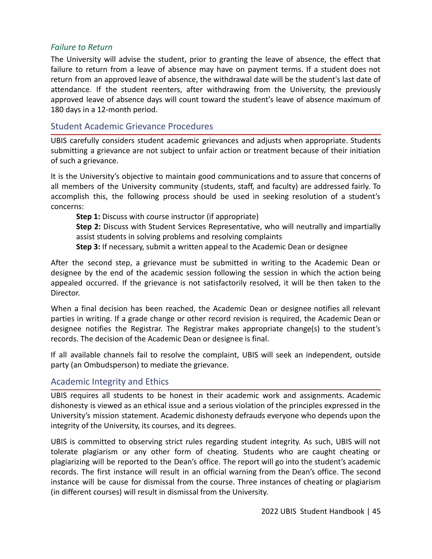#### *Failure to Return*

The University will advise the student, prior to granting the leave of absence, the effect that failure to return from a leave of absence may have on payment terms. If a student does not return from an approved leave of absence, the withdrawal date will be the student's last date of attendance. If the student reenters, after withdrawing from the University, the previously approved leave of absence days will count toward the student's leave of absence maximum of 180 days in a 12-month period.

#### <span id="page-45-0"></span>Student Academic Grievance Procedures

UBIS carefully considers student academic grievances and adjusts when appropriate. Students submitting a grievance are not subject to unfair action or treatment because of their initiation of such a grievance.

It is the University's objective to maintain good communications and to assure that concerns of all members of the University community (students, staff, and faculty) are addressed fairly. To accomplish this, the following process should be used in seeking resolution of a student's concerns:

**Step 1:** Discuss with course instructor (if appropriate) **Step 2:** Discuss with Student Services Representative, who will neutrally and impartially assist students in solving problems and resolving complaints **Step 3:** If necessary, submit a written appeal to the Academic Dean or designee

After the second step, a grievance must be submitted in writing to the Academic Dean or designee by the end of the academic session following the session in which the action being appealed occurred. If the grievance is not satisfactorily resolved, it will be then taken to the Director.

When a final decision has been reached, the Academic Dean or designee notifies all relevant parties in writing. If a grade change or other record revision is required, the Academic Dean or designee notifies the Registrar. The Registrar makes appropriate change(s) to the student's records. The decision of the Academic Dean or designee is final.

If all available channels fail to resolve the complaint, UBIS will seek an independent, outside party (an Ombudsperson) to mediate the grievance.

#### <span id="page-45-1"></span>Academic Integrity and Ethics

UBIS requires all students to be honest in their academic work and assignments. Academic dishonesty is viewed as an ethical issue and a serious violation of the principles expressed in the University's mission statement. Academic dishonesty defrauds everyone who depends upon the integrity of the University, its courses, and its degrees.

UBIS is committed to observing strict rules regarding student integrity. As such, UBIS will not tolerate plagiarism or any other form of cheating. Students who are caught cheating or plagiarizing will be reported to the Dean's office. The report will go into the student's academic records. The first instance will result in an official warning from the Dean's office. The second instance will be cause for dismissal from the course. Three instances of cheating or plagiarism (in different courses) will result in dismissal from the University.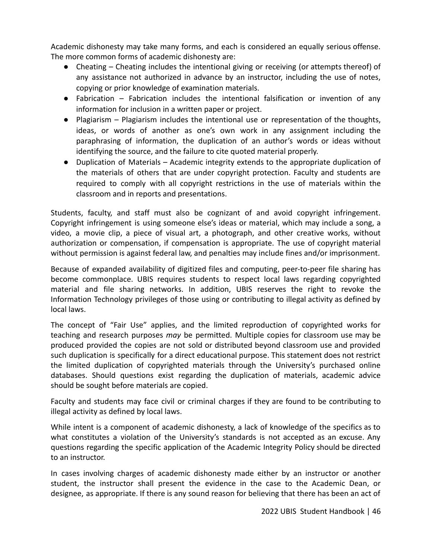Academic dishonesty may take many forms, and each is considered an equally serious offense. The more common forms of academic dishonesty are:

- Cheating Cheating includes the intentional giving or receiving (or attempts thereof) of any assistance not authorized in advance by an instructor, including the use of notes, copying or prior knowledge of examination materials.
- Fabrication Fabrication includes the intentional falsification or invention of any information for inclusion in a written paper or project.
- Plagiarism Plagiarism includes the intentional use or representation of the thoughts, ideas, or words of another as one's own work in any assignment including the paraphrasing of information, the duplication of an author's words or ideas without identifying the source, and the failure to cite quoted material properly.
- Duplication of Materials Academic integrity extends to the appropriate duplication of the materials of others that are under copyright protection. Faculty and students are required to comply with all copyright restrictions in the use of materials within the classroom and in reports and presentations.

Students, faculty, and staff must also be cognizant of and avoid copyright infringement. Copyright infringement is using someone else's ideas or material, which may include a song, a video, a movie clip, a piece of visual art, a photograph, and other creative works, without authorization or compensation, if compensation is appropriate. The use of copyright material without permission is against federal law, and penalties may include fines and/or imprisonment.

Because of expanded availability of digitized files and computing, peer-to-peer file sharing has become commonplace. UBIS requires students to respect local laws regarding copyrighted material and file sharing networks. In addition, UBIS reserves the right to revoke the Information Technology privileges of those using or contributing to illegal activity as defined by local laws.

The concept of "Fair Use" applies, and the limited reproduction of copyrighted works for teaching and research purposes *may* be permitted. Multiple copies for classroom use may be produced provided the copies are not sold or distributed beyond classroom use and provided such duplication is specifically for a direct educational purpose. This statement does not restrict the limited duplication of copyrighted materials through the University's purchased online databases. Should questions exist regarding the duplication of materials, academic advice should be sought before materials are copied.

Faculty and students may face civil or criminal charges if they are found to be contributing to illegal activity as defined by local laws.

While intent is a component of academic dishonesty, a lack of knowledge of the specifics as to what constitutes a violation of the University's standards is not accepted as an excuse. Any questions regarding the specific application of the Academic Integrity Policy should be directed to an instructor.

In cases involving charges of academic dishonesty made either by an instructor or another student, the instructor shall present the evidence in the case to the Academic Dean, or designee, as appropriate. If there is any sound reason for believing that there has been an act of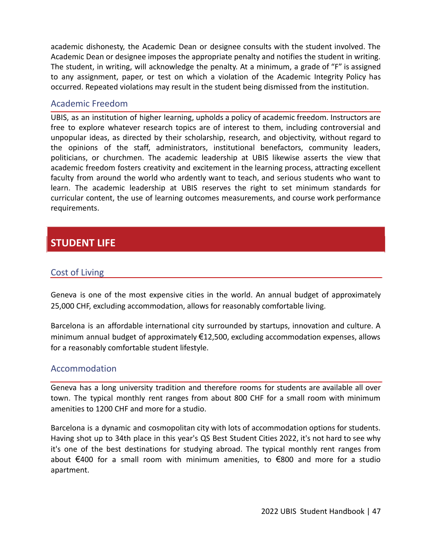academic dishonesty, the Academic Dean or designee consults with the student involved. The Academic Dean or designee imposes the appropriate penalty and notifies the student in writing. The student, in writing, will acknowledge the penalty. At a minimum, a grade of "F" is assigned to any assignment, paper, or test on which a violation of the Academic Integrity Policy has occurred. Repeated violations may result in the student being dismissed from the institution.

#### <span id="page-47-0"></span>Academic Freedom

UBIS, as an institution of higher learning, upholds a policy of academic freedom. Instructors are free to explore whatever research topics are of interest to them, including controversial and unpopular ideas, as directed by their scholarship, research, and objectivity, without regard to the opinions of the staff, administrators, institutional benefactors, community leaders, politicians, or churchmen. The academic leadership at UBIS likewise asserts the view that academic freedom fosters creativity and excitement in the learning process, attracting excellent faculty from around the world who ardently want to teach, and serious students who want to learn. The academic leadership at UBIS reserves the right to set minimum standards for curricular content, the use of learning outcomes measurements, and course work performance requirements.

## **STUDENT LIFE**

## <span id="page-47-1"></span>Cost of Living

Geneva is one of the most expensive cities in the world. An annual budget of approximately 25,000 CHF, excluding accommodation, allows for reasonably comfortable living.

Barcelona is an affordable international city surrounded by startups, innovation and culture. A minimum annual budget of approximately €12,500, excluding accommodation expenses, allows for a reasonably comfortable student lifestyle.

#### <span id="page-47-2"></span>Accommodation

Geneva has a long university tradition and therefore rooms for students are available all over town. The typical monthly rent ranges from about 800 CHF for a small room with minimum amenities to 1200 CHF and more for a studio.

Barcelona is a dynamic and cosmopolitan city with lots of accommodation options for students. Having shot up to 34th place in this year's QS Best Student Cities 2022, it's not hard to see why it's one of the best destinations for studying abroad. The typical monthly rent ranges from about €400 for a small room with minimum amenities, to €800 and more for a studio apartment.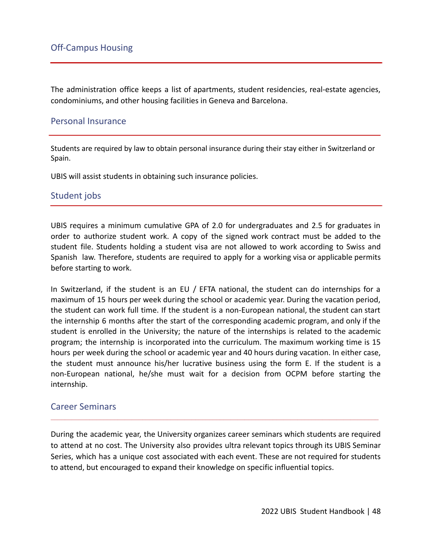<span id="page-48-0"></span>The administration office keeps a list of apartments, student residencies, real-estate agencies, condominiums, and other housing facilities in Geneva and Barcelona.

#### <span id="page-48-1"></span>Personal Insurance

Students are required by law to obtain personal insurance during their stay either in Switzerland or Spain.

UBIS will assist students in obtaining such insurance policies.

#### <span id="page-48-2"></span>Student jobs

UBIS requires a minimum cumulative GPA of 2.0 for undergraduates and 2.5 for graduates in order to authorize student work. A copy of the signed work contract must be added to the student file. Students holding a student visa are not allowed to work according to Swiss and Spanish law. Therefore, students are required to apply for a working visa or applicable permits before starting to work.

In Switzerland, if the student is an EU / EFTA national, the student can do internships for a maximum of 15 hours per week during the school or academic year. During the vacation period, the student can work full time. If the student is a non-European national, the student can start the internship 6 months after the start of the corresponding academic program, and only if the student is enrolled in the University; the nature of the internships is related to the academic program; the internship is incorporated into the curriculum. The maximum working time is 15 hours per week during the school or academic year and 40 hours during vacation. In either case, the student must announce his/her lucrative business using the form E. If the student is a non-European national, he/she must wait for a decision from OCPM before starting the internship.

#### <span id="page-48-3"></span>Career Seminars

During the academic year, the University organizes career seminars which students are required to attend at no cost. The University also provides ultra relevant topics through its UBIS Seminar Series, which has a unique cost associated with each event. These are not required for students to attend, but encouraged to expand their knowledge on specific influential topics.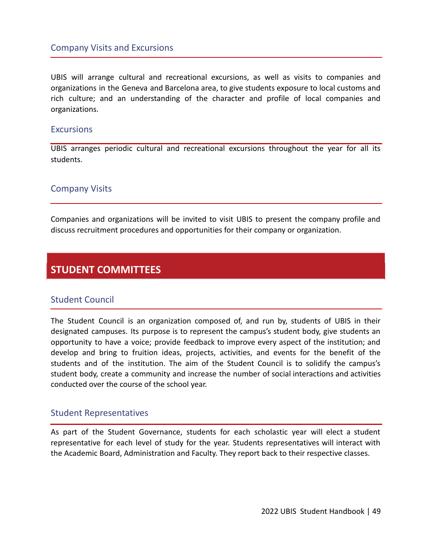#### <span id="page-49-0"></span>Company Visits and Excursions

UBIS will arrange cultural and recreational excursions, as well as visits to companies and organizations in the Geneva and Barcelona area, to give students exposure to local customs and rich culture; and an understanding of the character and profile of local companies and organizations.

#### <span id="page-49-1"></span>**Excursions**

UBIS arranges periodic cultural and recreational excursions throughout the year for all its students.

#### <span id="page-49-2"></span>Company Visits

Companies and organizations will be invited to visit UBIS to present the company profile and discuss recruitment procedures and opportunities for their company or organization.

## **STUDENT COMMITTEES**

#### <span id="page-49-3"></span>Student Council

The Student Council is an organization composed of, and run by, students of UBIS in their designated campuses. Its purpose is to represent the campus's student body, give students an opportunity to have a voice; provide feedback to improve every aspect of the institution; and develop and bring to fruition ideas, projects, activities, and events for the benefit of the students and of the institution. The aim of the Student Council is to solidify the campus's student body, create a community and increase the number of social interactions and activities conducted over the course of the school year.

#### <span id="page-49-4"></span>Student Representatives

As part of the Student Governance, students for each scholastic year will elect a student representative for each level of study for the year. Students representatives will interact with the Academic Board, Administration and Faculty. They report back to their respective classes.